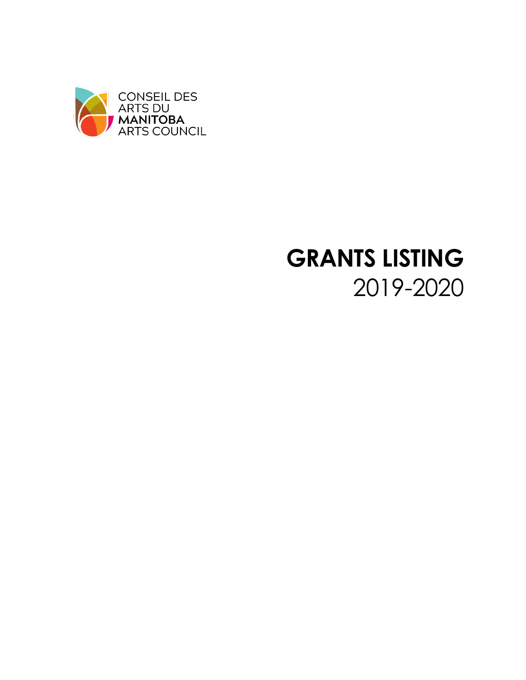

## **GRANTS LISTING** 2019-2020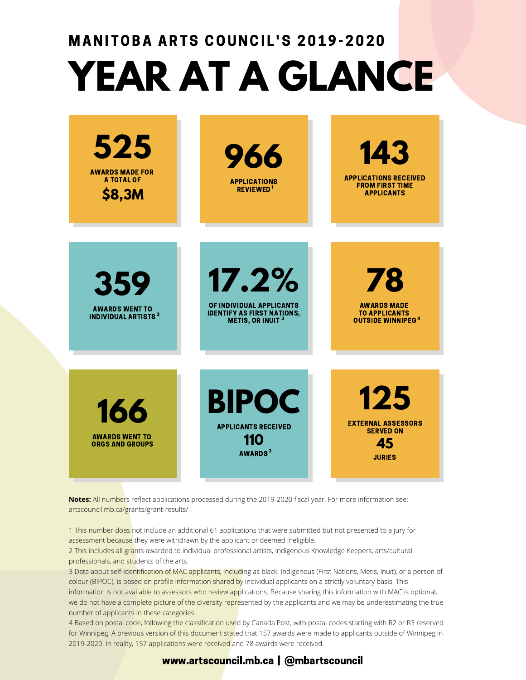# **YEAR AT A GLANCE** MANITOBA ARTS COUNCIL'S 2019-2020

| 525<br><b>AWARDS MADE FOR</b><br><b>A TOTAL OF</b><br>\$8,3M          | 966<br><b>APPLICATIONS</b><br><b>REVIEWED<sup>1</sup></b>                                    | 143<br><b>APPLICATIONS RECEIVED</b><br><b>FROM FIRST TIME</b><br><b>APPLICANTS</b>      |
|-----------------------------------------------------------------------|----------------------------------------------------------------------------------------------|-----------------------------------------------------------------------------------------|
| 359<br><b>AWARDS WENT TO</b><br><b>INDIVIDUAL ARTISTS<sup>2</sup></b> | 17.2%<br>OF INDIVIDUAL APPLICANTS<br><b>IDENTIFY AS FIRST NATIONS,<br/>METIS, OR INUIT 3</b> | 78<br><b>AWARDS MADE</b><br><b>TO APPLICANTS</b><br><b>OUTSIDE WINNIPEG<sup>4</sup></b> |
| 166<br><b>AWARDS WENT TO</b><br><b>ORGS AND GROUPS</b>                | <b>BIPOC</b><br><b>APPLICANTS RECEIVED</b><br>110<br><b>AWARDS</b> <sup>3</sup>              | 125<br><b>EXTERNAL ASSESSORS</b><br><b>SERVED ON</b><br>45<br><b>JURIES</b>             |

**Notes:** All numbers reflect applications processed during the 2019-2020 fiscal year. For more information see: artscouncil.mb.ca/grants/grant-results/

1 This number does not include an additional 61 applications that were submitted but not presented to a jury for assessment because they were withdrawn by the applicant or deemed ineligible.

2 This includes all grants awarded to individual professional artists, Indigenous Knowledge Keepers, arts/cultural professionals, and students of the arts.

3 Data about self-identification of MAC applicants, including as black, Indigenous (First Nations, Metis, Inuit), or a person of colour (BIPOC), is based on profile information shared by individual applicants on a strictly voluntary basis. This information is not available to assessors who review applications. Because sharing this information with MAC is optional, we do not have a complete picture of the diversity represented by the applicants and we may be underestimating the true number of applicants in these categories.

4 Based on postal code, following the classification used by Canada Post, with postal codes starting with R2 or R3 reserved for Winnipeg. A previous version of this document stated that 157 awards were made to applicants outside of Winnipeg in 2019-2020. In reality, 157 applications were received and 78 awards were received.

#### www.artscouncil.mb.ca | @mbartscouncil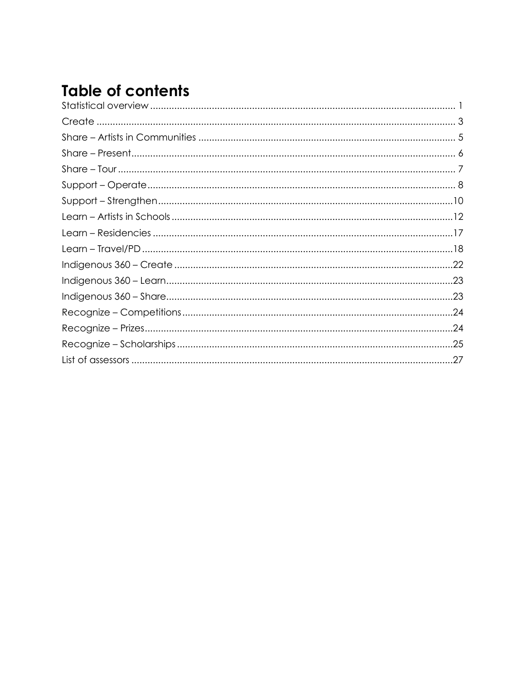### **Table of contents**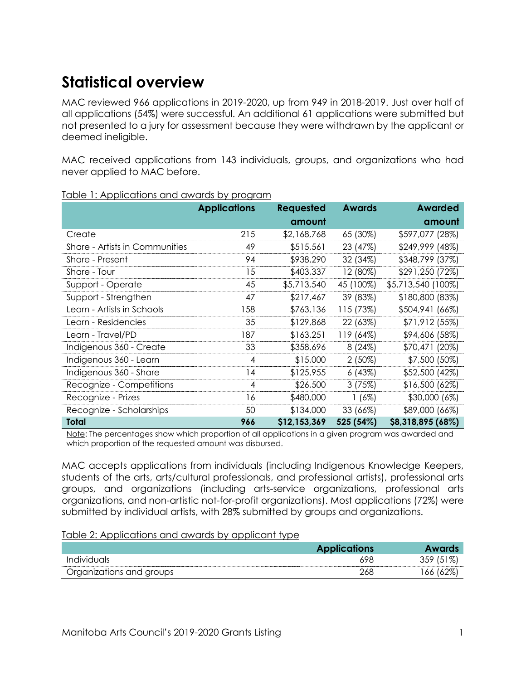#### <span id="page-3-0"></span>**Statistical overview**

MAC reviewed 966 applications in 2019-2020, up from 949 in 2018-2019. Just over half of all applications (54%) were successful. An additional 61 applications were submitted but not presented to a jury for assessment because they were withdrawn by the applicant or deemed ineligible.

MAC received applications from 143 individuals, groups, and organizations who had never applied to MAC before.

|                                | <b>Applications</b> | <b>Requested</b> | <b>Awards</b> | <b>Awarded</b>     |
|--------------------------------|---------------------|------------------|---------------|--------------------|
|                                |                     | amount           |               | amount             |
| Create                         | 215                 | \$2,168,768      | 65 (30%)      | \$597,077 (28%)    |
| Share - Artists in Communities | 49                  | \$515,561        | 23 (47%)      | \$249,999 (48%)    |
| Share - Present                | 94                  | \$938,290        | 32 (34%)      | \$348,799 (37%)    |
| Share - Tour                   | 15                  | \$403,337        | 12 (80%)      | \$291,250 (72%)    |
| Support - Operate              | 45                  | \$5,713,540      | 45 (100%)     | \$5,713,540 (100%) |
| Support - Strengthen           | 47                  | \$217,467        | 39 (83%)      | \$180,800 (83%)    |
| Learn - Artists in Schools     | 158                 | \$763,136        | 115 (73%)     | \$504,941 (66%)    |
| Learn - Residencies            | 35                  | \$129,868        | 22 (63%)      | \$71,912 (55%)     |
| Learn - Travel/PD              | 187                 | \$163,251        | 119 (64%)     | \$94,606 (58%)     |
| Indigenous 360 - Create        | 33                  | \$358,696        | 8(24%)        | \$70,471 (20%)     |
| Indigenous 360 - Learn         | 4                   | \$15,000         | $2(50\%)$     | \$7,500 (50%)      |
| Indigenous 360 - Share         | 14                  | \$125,955        | 6(43%)        | \$52,500 (42%)     |
| Recognize - Competitions       | 4                   | \$26,500         | 3(75%)        | \$16,500 (62%)     |
| Recognize - Prizes             | 16                  | \$480,000        | $1(6\%)$      | \$30,000 (6%)      |
| Recognize - Scholarships       | 50                  | \$134,000        | 33 (66%)      | \$89,000 (66%)     |
| <b>Total</b>                   | 966                 | \$12,153,369     | 525 (54%)     | \$8,318,895 (68%)  |

#### Table 1: Applications and awards by program

Note: The percentages show which proportion of all applications in a given program was awarded and which proportion of the requested amount was disbursed.

MAC accepts applications from individuals (including Indigenous Knowledge Keepers, students of the arts, arts/cultural professionals, and professional artists), professional arts groups, and organizations (including arts-service organizations, professional arts organizations, and non-artistic not-for-profit organizations). Most applications (72%) were submitted by individual artists, with 28% submitted by groups and organizations.

#### Table 2: Applications and awards by applicant type

|                          | <b>Applications</b> |               |
|--------------------------|---------------------|---------------|
| Individuals              | 698                 | $1\%$<br>359. |
| Organizations and groups | 268                 | 62%<br>66     |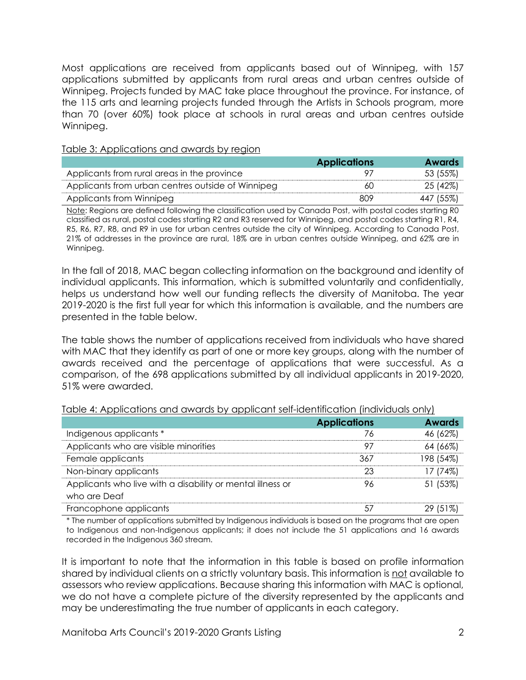Most applications are received from applicants based out of Winnipeg, with 157 applications submitted by applicants from rural areas and urban centres outside of Winnipeg. Projects funded by MAC take place throughout the province. For instance, of the 115 arts and learning projects funded through the Artists in Schools program, more than 70 (over 60%) took place at schools in rural areas and urban centres outside Winnipeg.

#### Table 3: Applications and awards by region

|                                                   | <b>Applications</b> | <b>Awards</b> |
|---------------------------------------------------|---------------------|---------------|
| Applicants from rural areas in the province       |                     | 53 (55%)      |
| Applicants from urban centres outside of Winnipeg | 60                  | 25 (42%)      |
| Applicants from Winnipeg                          | 809                 | 447 (55%)     |

Note: Regions are defined following the classification used by Canada Post, with postal codes starting R0 classified as rural, postal codes starting R2 and R3 reserved for Winnipeg, and postal codes starting R1, R4, R5, R6, R7, R8, and R9 in use for urban centres outside the city of Winnipeg. According to Canada Post, 21% of addresses in the province are rural, 18% are in urban centres outside Winnipeg, and 62% are in Winnipeg.

In the fall of 2018, MAC began collecting information on the background and identity of individual applicants. This information, which is submitted voluntarily and confidentially, helps us understand how well our funding reflects the diversity of Manitoba. The year 2019-2020 is the first full year for which this information is available, and the numbers are presented in the table below.

The table shows the number of applications received from individuals who have shared with MAC that they identify as part of one or more key groups, along with the number of awards received and the percentage of applications that were successful. As a comparison, of the 698 applications submitted by all individual applicants in 2019-2020, 51% were awarded.

|                                                            | <b>Applications</b> | <b>Awards</b> |
|------------------------------------------------------------|---------------------|---------------|
| Indigenous applicants *                                    | 76                  | 46 (62%)      |
| Applicants who are visible minorities                      | 97                  | 64 (66%)      |
| Female applicants                                          | 367                 | 198 (54%)     |
| Non-binary applicants                                      | 23                  | 17 (74%)      |
| Applicants who live with a disability or mental illness or | 96                  | 51 (53%)      |
| who are Deaf                                               |                     |               |
| Francophone applicants                                     |                     | 29 (51%)      |

Table 4: Applications and awards by applicant self-identification (individuals only)

\* The number of applications submitted by Indigenous individuals is based on the programs that are open to Indigenous and non-Indigenous applicants; it does not include the 51 applications and 16 awards recorded in the Indigenous 360 stream.

It is important to note that the information in this table is based on profile information shared by individual clients on a strictly voluntary basis. This information is not available to assessors who review applications. Because sharing this information with MAC is optional, we do not have a complete picture of the diversity represented by the applicants and may be underestimating the true number of applicants in each category.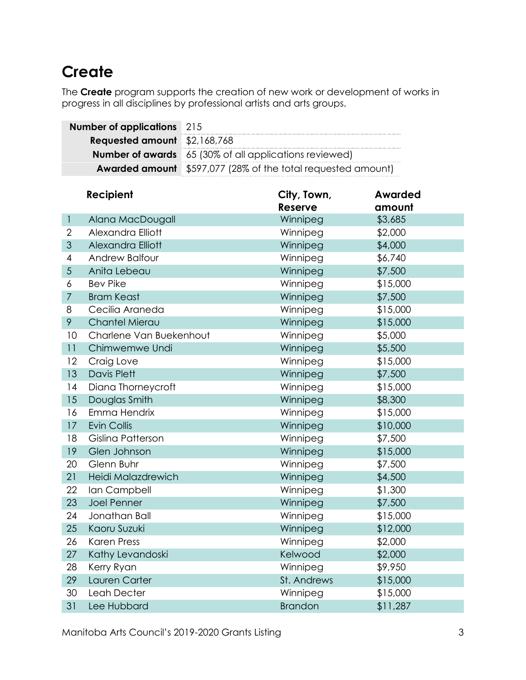#### <span id="page-5-0"></span>**Create**

The **Create** program supports the creation of new work or development of works in progress in all disciplines by professional artists and arts groups.

| <b>Number of applications</b> 215   |                                                                     |
|-------------------------------------|---------------------------------------------------------------------|
| <b>Requested amount</b> \$2,168,768 |                                                                     |
|                                     | <b>Number of awards</b> 65 (30% of all applications reviewed)       |
|                                     | <b>Awarded amount</b> \$597,077 (28% of the total requested amount) |

|                | Recipient               | City, Town,    | <b>Awarded</b> |
|----------------|-------------------------|----------------|----------------|
|                |                         | <b>Reserve</b> | amount         |
| $\mathbf{1}$   | Alana MacDougall        | Winnipeg       | \$3,685        |
| $\overline{2}$ | Alexandra Elliott       | Winnipeg       | \$2,000        |
| 3              | Alexandra Elliott       | Winnipeg       | \$4,000        |
| 4              | Andrew Balfour          | Winnipeg       | \$6,740        |
| 5              | Anita Lebeau            | Winnipeg       | \$7,500        |
| 6              | <b>Bev Pike</b>         | Winnipeg       | \$15,000       |
| $\overline{7}$ | <b>Bram Keast</b>       | Winnipeg       | \$7,500        |
| 8              | Cecilia Araneda         | Winnipeg       | \$15,000       |
| 9              | Chantel Mierau          | Winnipeg       | \$15,000       |
| 10             | Charlene Van Buekenhout | Winnipeg       | \$5,000        |
| 11             | Chimwemwe Undi          | Winnipeg       | \$5,500        |
| 12             | Craig Love              | Winnipeg       | \$15,000       |
| 13             | <b>Davis Plett</b>      | Winnipeg       | \$7,500        |
| 14             | Diana Thorneycroft      | Winnipeg       | \$15,000       |
| 15             | Douglas Smith           | Winnipeg       | \$8,300        |
| 16             | Emma Hendrix            | Winnipeg       | \$15,000       |
| 17             | <b>Evin Collis</b>      | Winnipeg       | \$10,000       |
| 18             | Gislina Patterson       | Winnipeg       | \$7,500        |
| 19             | Glen Johnson            | Winnipeg       | \$15,000       |
| 20             | Glenn Buhr              | Winnipeg       | \$7,500        |
| 21             | Heidi Malazdrewich      | Winnipeg       | \$4,500        |
| 22             | lan Campbell            | Winnipeg       | \$1,300        |
| 23             | <b>Joel Penner</b>      | Winnipeg       | \$7,500        |
| 24             | Jonathan Ball           | Winnipeg       | \$15,000       |
| 25             | Kaoru Suzuki            | Winnipeg       | \$12,000       |
| 26             | <b>Karen Press</b>      | Winnipeg       | \$2,000        |
| 27             | Kathy Levandoski        | Kelwood        | \$2,000        |
| 28             | Kerry Ryan              | Winnipeg       | \$9,950        |
| 29             | Lauren Carter           | St. Andrews    | \$15,000       |
| 30             | Leah Decter             | Winnipeg       | \$15,000       |
| 31             | Lee Hubbard             | <b>Brandon</b> | \$11,287       |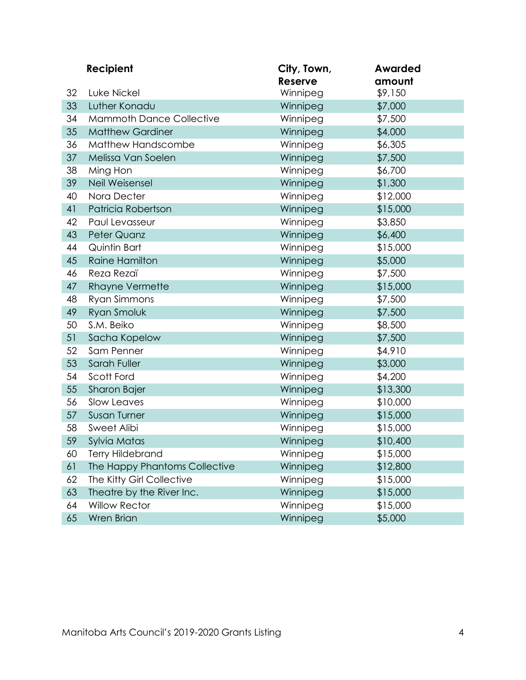|    | <b>Recipient</b>                | City, Town,<br>Reserve | <b>Awarded</b><br>amount |  |
|----|---------------------------------|------------------------|--------------------------|--|
| 32 | Luke Nickel                     | Winnipeg               | \$9,150                  |  |
| 33 | Luther Konadu                   | Winnipeg               | \$7,000                  |  |
| 34 | <b>Mammoth Dance Collective</b> | Winnipeg               | \$7,500                  |  |
| 35 | <b>Matthew Gardiner</b>         | Winnipeg               | \$4,000                  |  |
| 36 | Matthew Handscombe              | Winnipeg               | \$6,305                  |  |
| 37 | Melissa Van Soelen              | Winnipeg               | \$7,500                  |  |
| 38 | Ming Hon                        | Winnipeg               | \$6,700                  |  |
| 39 | Neil Weisensel                  | Winnipeg               | \$1,300                  |  |
| 40 | Nora Decter                     | Winnipeg               | \$12,000                 |  |
| 41 | Patricia Robertson              | Winnipeg               | \$15,000                 |  |
| 42 | Paul Levasseur                  | Winnipeg               | \$3,850                  |  |
| 43 | Peter Quanz                     | Winnipeg               | \$6,400                  |  |
| 44 | Quintin Bart                    | Winnipeg               | \$15,000                 |  |
| 45 | <b>Raine Hamilton</b>           | Winnipeg               | \$5,000                  |  |
| 46 | Reza Rezaï                      | Winnipeg               | \$7,500                  |  |
| 47 | <b>Rhayne Vermette</b>          | Winnipeg               | \$15,000                 |  |
| 48 | Ryan Simmons                    | Winnipeg               | \$7,500                  |  |
| 49 | Ryan Smoluk                     | Winnipeg               | \$7,500                  |  |
| 50 | S.M. Beiko                      | Winnipeg               | \$8,500                  |  |
| 51 | Sacha Kopelow                   | Winnipeg               | \$7,500                  |  |
| 52 | Sam Penner                      | Winnipeg               | \$4,910                  |  |
| 53 | Sarah Fuller                    | Winnipeg               | \$3,000                  |  |
| 54 | Scott Ford                      | Winnipeg               | \$4,200                  |  |
| 55 | Sharon Bajer                    | Winnipeg               | \$13,300                 |  |
| 56 | Slow Leaves                     | Winnipeg               | \$10,000                 |  |
| 57 | <b>Susan Turner</b>             | Winnipeg               | \$15,000                 |  |
| 58 | Sweet Alibi                     | Winnipeg               | \$15,000                 |  |
| 59 | Sylvia Matas                    | Winnipeg               | \$10,400                 |  |
| 60 | <b>Terry Hildebrand</b>         | Winnipeg               | \$15,000                 |  |
| 61 | The Happy Phantoms Collective   | Winnipeg               | \$12,800                 |  |
| 62 | The Kitty Girl Collective       | Winnipeg               | \$15,000                 |  |
| 63 | Theatre by the River Inc.       | Winnipeg               | \$15,000                 |  |
| 64 | <b>Willow Rector</b>            | Winnipeg               | \$15,000                 |  |
| 65 | Wren Brian                      | Winnipeg               | \$5,000                  |  |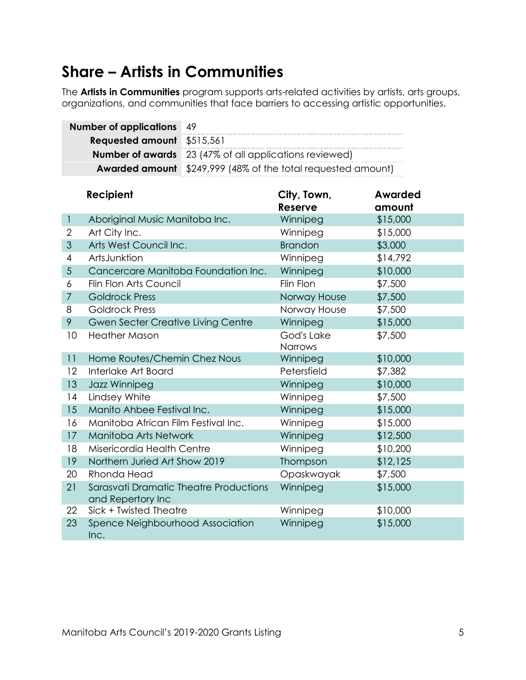#### <span id="page-7-0"></span>**Share – Artists in Communities**

The **Artists in Communities** program supports arts-related activities by artists, arts groups, organizations, and communities that face barriers to accessing artistic opportunities.

|    | <b>Number of applications</b>       | 49                                    |                                               |                   |
|----|-------------------------------------|---------------------------------------|-----------------------------------------------|-------------------|
|    | <b>Requested amount</b>             | \$515,561                             |                                               |                   |
|    | <b>Number of awards</b>             | 23 (47% of all applications reviewed) |                                               |                   |
|    | <b>Awarded amount</b>               |                                       | \$249,999 (48% of the total requested amount) |                   |
|    | Recipient                           |                                       | City, Town,<br>Reserve                        | Awarded<br>amount |
| 1  | Aboriginal Music Manitoba Inc.      |                                       | Winnipeg                                      | \$15,000          |
| 2  | Art City Inc.                       |                                       | Winnipeg                                      | \$15,000          |
| 3  | Arts West Council Inc.              |                                       | <b>Brandon</b>                                | \$3,000           |
| 4  | ArtsJunktion                        |                                       | Winnipeg                                      | \$14,792          |
| 5  | Cancercare Manitoba Foundation Inc. |                                       | Winnipeg                                      | \$10,000          |
| 6  | Flin Flon Arts Council              |                                       | Flin Flon                                     | \$7,500           |
| 7  | <b>Goldrock Press</b>               |                                       | Norway House                                  | \$7,500           |
| 8  | <b>Goldrock Press</b>               |                                       | Norway House                                  | \$7,500           |
| 9  | Gwen Secter Creative Living Centre  |                                       | Winnipeg                                      | \$15,000          |
| 10 | <b>Heather Mason</b>                |                                       | God's Lake<br><b>Narrows</b>                  | \$7,500           |
| 11 | Home Routes/Chemin Chez Nous        |                                       | Winnipeg                                      | \$10,000          |
| 12 | Interlake Art Board                 |                                       | Petersfield                                   | \$7,382           |
| 13 | Jazz Winnipeg                       |                                       | Winnipeg                                      | \$10,000          |
| 14 | Lindsey White                       |                                       | Winnipeg                                      | \$7,500           |
| 15 | Manito Ahbee Festival Inc.          |                                       | Winnipeg                                      | \$15,000          |
| 16 | Manitoba African Film Festival Inc. |                                       | Winnipeg                                      | \$15,000          |
| 17 | Manitoba Arts Network               |                                       | Winnipeg                                      | \$12,500          |
| 18 | Misericordia Health Centre          |                                       | Winnipeg                                      | \$10,200          |
| 19 | Northern Juried Art Show 2019       |                                       | Thompson                                      | \$12,125          |
|    |                                     |                                       |                                               |                   |

| 19  | Northern Juried Art Show 2019                               | Thompson   | \$12,125 |
|-----|-------------------------------------------------------------|------------|----------|
| 20  | Rhonda Head                                                 | Opaskwayak | \$7,500  |
| 21  | Sarasvati Dramatic Theatre Productions<br>and Repertory Inc | Winnipeg   | \$15,000 |
| 22. | Sick + Twisted Theatre                                      | Winnipeg   | \$10,000 |
| 23  | Spence Neighbourhood Association<br>Inc.                    | Winnipeg   | \$15,000 |

T.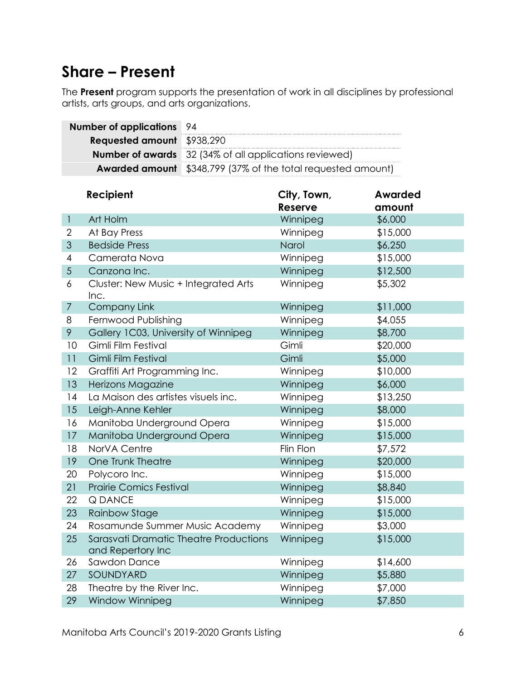#### <span id="page-8-0"></span>**Share – Present**

The **Present** program supports the presentation of work in all disciplines by professional artists, arts groups, and arts organizations.

|                | <b>Number of applications</b><br>94                         |                                               |                |                |  |
|----------------|-------------------------------------------------------------|-----------------------------------------------|----------------|----------------|--|
|                | <b>Requested amount</b>                                     | \$938,290                                     |                |                |  |
|                | <b>Number of awards</b>                                     | 32 (34% of all applications reviewed)         |                |                |  |
|                | <b>Awarded amount</b>                                       | \$348,799 (37% of the total requested amount) |                |                |  |
|                |                                                             |                                               |                |                |  |
|                | Recipient                                                   |                                               | City, Town,    | <b>Awarded</b> |  |
|                |                                                             |                                               | <b>Reserve</b> | amount         |  |
| $\mathbf{1}$   | Art Holm                                                    |                                               | Winnipeg       | \$6,000        |  |
| 2              | At Bay Press                                                |                                               | Winnipeg       | \$15,000       |  |
| $\mathfrak{S}$ | <b>Bedside Press</b>                                        |                                               | Narol          | \$6,250        |  |
| 4              | Camerata Nova                                               |                                               | Winnipeg       | \$15,000       |  |
| $\sqrt{5}$     | Canzona Inc.                                                |                                               | Winnipeg       | \$12,500       |  |
| 6              | Cluster: New Music + Integrated Arts<br>Inc.                |                                               | Winnipeg       | \$5,302        |  |
| $\overline{7}$ | <b>Company Link</b>                                         |                                               | Winnipeg       | \$11,000       |  |
| 8              | Fernwood Publishing                                         |                                               | Winnipeg       | \$4,055        |  |
| 9              | Gallery 1C03, University of Winnipeg                        |                                               | Winnipeg       | \$8,700        |  |
| 10             | Gimli Film Festival                                         |                                               | Gimli          | \$20,000       |  |
| 11             | Gimli Film Festival                                         |                                               | Gimli          | \$5,000        |  |
| 12             | Graffiti Art Programming Inc.                               |                                               | Winnipeg       | \$10,000       |  |
| 13             | Herizons Magazine                                           |                                               | Winnipeg       | \$6,000        |  |
| 14             | La Maison des artistes visuels inc.                         |                                               | Winnipeg       | \$13,250       |  |
| 15             | Leigh-Anne Kehler                                           |                                               | Winnipeg       | \$8,000        |  |
| 16             | Manitoba Underground Opera                                  |                                               | Winnipeg       | \$15,000       |  |
| 17             | Manitoba Underground Opera                                  |                                               | Winnipeg       | \$15,000       |  |
| 18             | NorVA Centre                                                |                                               | Flin Flon      | \$7,572        |  |
| 19             | One Trunk Theatre                                           |                                               | Winnipeg       | \$20,000       |  |
| 20             | Polycoro Inc.                                               |                                               | Winnipeg       | \$15,000       |  |
| 21             | <b>Prairie Comics Festival</b>                              |                                               | Winnipeg       | \$8,840        |  |
| 22             | <b>Q DANCE</b>                                              |                                               | Winnipeg       | \$15,000       |  |
| 23             | Rainbow Stage                                               |                                               | Winnipeg       | \$15,000       |  |
| 24             | Rosamunde Summer Music Academy                              |                                               | Winnipeg       | \$3,000        |  |
| 25             | Sarasvati Dramatic Theatre Productions<br>and Repertory Inc |                                               | Winnipeg       | \$15,000       |  |
| 26             | Sawdon Dance                                                |                                               | Winnipeg       | \$14,600       |  |
| 27             | SOUNDYARD                                                   |                                               | Winnipeg       | \$5,880        |  |
| 28             | Theatre by the River Inc.                                   |                                               | Winnipeg       | \$7,000        |  |
| 29             | Window Winnipeg                                             |                                               | Winnipeg       | \$7,850        |  |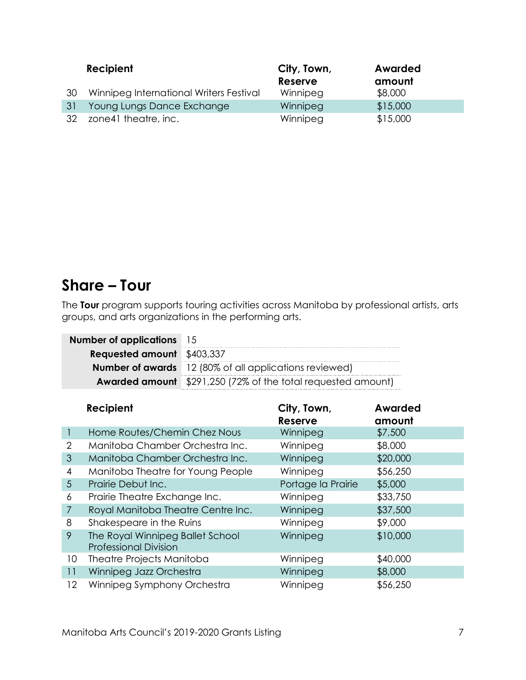|    | Recipient                               | City, Town,    | Awarded  |  |
|----|-----------------------------------------|----------------|----------|--|
|    |                                         | <b>Reserve</b> | amount   |  |
| 30 | Winnipeg International Writers Festival | Winnipeg       | \$8,000  |  |
| 31 | Young Lungs Dance Exchange              | Winnipeg       | \$15,000 |  |
| 32 | zone41 theatre, inc.                    | Winnipeg       | \$15,000 |  |

#### <span id="page-9-0"></span>**Share – Tour**

The **Tour** program supports touring activities across Manitoba by professional artists, arts groups, and arts organizations in the performing arts.

| <b>Number of applications</b> 15  |                                                                     |
|-----------------------------------|---------------------------------------------------------------------|
| <b>Requested amount</b> \$403,337 |                                                                     |
|                                   | <b>Number of awards</b> 12 (80% of all applications reviewed)       |
|                                   | <b>Awarded amount</b> \$291,250 (72% of the total requested amount) |

|                 | Recipient                                                        | City, Town,<br><b>Reserve</b> | <b>Awarded</b><br>amount |
|-----------------|------------------------------------------------------------------|-------------------------------|--------------------------|
|                 | Home Routes/Chemin Chez Nous                                     | Winnipeg                      | \$7,500                  |
| 2               | Manitoba Chamber Orchestra Inc.                                  | Winnipeg                      | \$8,000                  |
| 3               | Manitoba Chamber Orchestra Inc.                                  | Winnipeg                      | \$20,000                 |
| 4               | Manitoba Theatre for Young People                                | Winnipeg                      | \$56,250                 |
| $5\overline{)}$ | Prairie Debut Inc.                                               | Portage la Prairie            | \$5,000                  |
| 6               | Prairie Theatre Exchange Inc.                                    | Winnipeg                      | \$33,750                 |
| $\overline{7}$  | Royal Manitoba Theatre Centre Inc.                               | Winnipeg                      | \$37,500                 |
| 8               | Shakespeare in the Ruins                                         | Winnipeg                      | \$9,000                  |
| 9               | The Royal Winnipeg Ballet School<br><b>Professional Division</b> | Winnipeg                      | \$10,000                 |
| 10              | Theatre Projects Manitoba                                        | Winnipeg                      | \$40,000                 |
| 11              | Winnipeg Jazz Orchestra                                          | Winnipeg                      | \$8,000                  |
| $12 \,$         | Winnipeg Symphony Orchestra                                      | Winnipeg                      | \$56,250                 |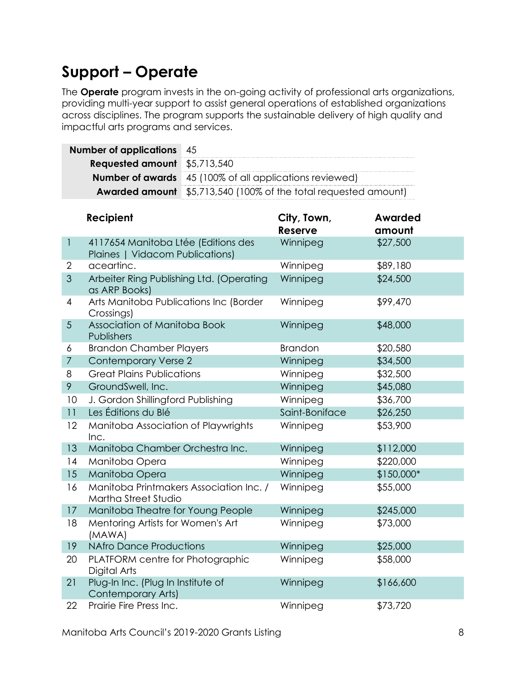### <span id="page-10-0"></span>**Support – Operate**

The **Operate** program invests in the on-going activity of professional arts organizations, providing multi-year support to assist general operations of established organizations across disciplines. The program supports the sustainable delivery of high quality and impactful arts programs and services.

| <b>Number of applications</b> 45    |                                                                        |
|-------------------------------------|------------------------------------------------------------------------|
| <b>Requested amount</b> \$5,713,540 |                                                                        |
|                                     | <b>Number of awards</b> 45 (100% of all applications reviewed)         |
|                                     | <b>Awarded amount</b> \$5,713,540 (100% of the total requested amount) |

|                | Recipient                                                              | City, Town,<br>Reserve | <b>Awarded</b><br>amount |
|----------------|------------------------------------------------------------------------|------------------------|--------------------------|
| $\mathbf{1}$   | 4117654 Manitoba Ltée (Editions des<br>Plaines   Vidacom Publications) | Winnipeg               | \$27,500                 |
| $\overline{2}$ | aceartinc.                                                             | Winnipeg               | \$89,180                 |
| 3              | Arbeiter Ring Publishing Ltd. (Operating<br>as ARP Books)              | Winnipeg               | \$24,500                 |
| $\overline{4}$ | Arts Manitoba Publications Inc (Border<br>Crossings)                   | Winnipeg               | \$99,470                 |
| 5              | Association of Manitoba Book<br>Publishers                             | Winnipeg               | \$48,000                 |
| 6              | <b>Brandon Chamber Players</b>                                         | <b>Brandon</b>         | \$20,580                 |
| $\overline{7}$ | <b>Contemporary Verse 2</b>                                            | Winnipeg               | \$34,500                 |
| 8              | <b>Great Plains Publications</b>                                       | Winnipeg               | \$32,500                 |
| 9              | GroundSwell, Inc.                                                      | Winnipeg               | \$45,080                 |
| 10             | J. Gordon Shillingford Publishing                                      | Winnipeg               | \$36,700                 |
| 11             | Les Éditions du Blé                                                    | Saint-Boniface         | \$26,250                 |
| 12             | Manitoba Association of Playwrights<br>Inc.                            | Winnipeg               | \$53,900                 |
| 13             | Manitoba Chamber Orchestra Inc.                                        | Winnipeg               | \$112,000                |
| 14             | Manitoba Opera                                                         | Winnipeg               | \$220,000                |
| 15             | Manitoba Opera                                                         | Winnipeg               | \$150,000*               |
| 16             | Manitoba Printmakers Association Inc. /<br>Martha Street Studio        | Winnipeg               | \$55,000                 |
| 17             | Manitoba Theatre for Young People                                      | Winnipeg               | \$245,000                |
| 18             | Mentoring Artists for Women's Art<br>(MAWA)                            | Winnipeg               | \$73,000                 |
| 19             | <b>NAfro Dance Productions</b>                                         | Winnipeg               | \$25,000                 |
| 20             | PLATFORM centre for Photographic<br>Digital Arts                       | Winnipeg               | \$58,000                 |
| 21             | Plug-In Inc. (Plug In Institute of<br>Contemporary Arts)               | Winnipeg               | \$166,600                |
| 22             | Prairie Fire Press Inc.                                                | Winnipeg               | \$73,720                 |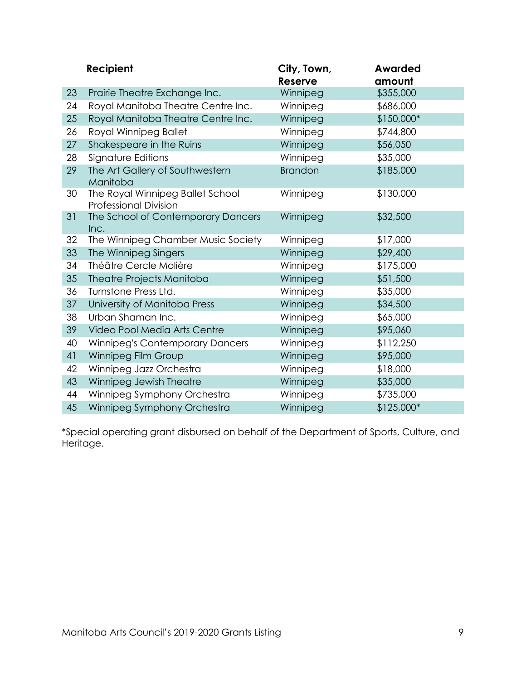|    | Recipient                                                        | City, Town,<br><b>Reserve</b> | <b>Awarded</b><br>amount |
|----|------------------------------------------------------------------|-------------------------------|--------------------------|
| 23 | Prairie Theatre Exchange Inc.                                    | Winnipeg                      | \$355,000                |
| 24 | Royal Manitoba Theatre Centre Inc.                               | Winnipeg                      | \$686,000                |
| 25 | Royal Manitoba Theatre Centre Inc.                               | Winnipeg                      | \$150,000*               |
| 26 | Royal Winnipeg Ballet                                            | Winnipeg                      | \$744,800                |
| 27 | Shakespeare in the Ruins                                         | Winnipeg                      | \$56,050                 |
| 28 | Signature Editions                                               | Winnipeg                      | \$35,000                 |
| 29 | The Art Gallery of Southwestern<br>Manitoba                      | <b>Brandon</b>                | \$185,000                |
| 30 | The Royal Winnipeg Ballet School<br><b>Professional Division</b> | Winnipeg                      | \$130,000                |
| 31 | The School of Contemporary Dancers<br>Inc.                       | Winnipeg                      | \$32,500                 |
| 32 | The Winnipeg Chamber Music Society                               | Winnipeg                      | \$17,000                 |
| 33 | The Winnipeg Singers                                             | Winnipeg                      | \$29,400                 |
| 34 | Théâtre Cercle Molière                                           | Winnipeg                      | \$175,000                |
| 35 | <b>Theatre Projects Manitoba</b>                                 | Winnipeg                      | \$51,500                 |
| 36 | Turnstone Press Ltd.                                             | Winnipeg                      | \$35,000                 |
| 37 | University of Manitoba Press                                     | Winnipeg                      | \$34,500                 |
| 38 | Urban Shaman Inc.                                                | Winnipeg                      | \$65,000                 |
| 39 | Video Pool Media Arts Centre                                     | Winnipeg                      | \$95,060                 |
| 40 | <b>Winnipeg's Contemporary Dancers</b>                           | Winnipeg                      | \$112,250                |
| 41 | Winnipeg Film Group                                              | Winnipeg                      | \$95,000                 |
| 42 | Winnipeg Jazz Orchestra                                          | Winnipeg                      | \$18,000                 |
| 43 | Winnipeg Jewish Theatre                                          | Winnipeg                      | \$35,000                 |
| 44 | Winnipeg Symphony Orchestra                                      | Winnipeg                      | \$735,000                |
| 45 | Winnipeg Symphony Orchestra                                      | Winnipeg                      | \$125,000*               |

\*Special operating grant disbursed on behalf of the Department of Sports, Culture, and Heritage.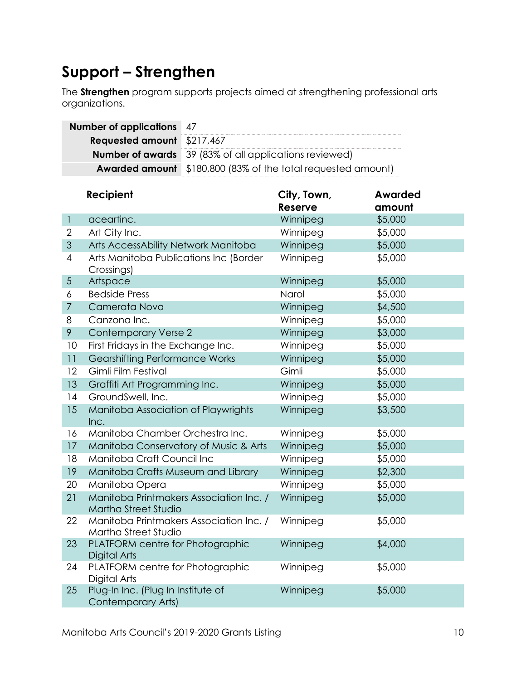### <span id="page-12-0"></span>**Support – Strengthen**

The **Strengthen** program supports projects aimed at strengthening professional arts organizations.

|                           | <b>Number of applications</b>                                    | 47        |                                               |                |  |
|---------------------------|------------------------------------------------------------------|-----------|-----------------------------------------------|----------------|--|
|                           | <b>Requested amount</b>                                          | \$217,467 |                                               |                |  |
|                           | 39 (83% of all applications reviewed)<br><b>Number of awards</b> |           |                                               |                |  |
|                           | <b>Awarded amount</b>                                            |           | \$180,800 (83% of the total requested amount) |                |  |
|                           |                                                                  |           |                                               |                |  |
|                           | Recipient                                                        |           | City, Town,                                   | <b>Awarded</b> |  |
|                           |                                                                  |           | <b>Reserve</b>                                | amount         |  |
| $\mathbf{1}$              | aceartinc.                                                       |           | Winnipeg                                      | \$5,000        |  |
| 2                         | Art City Inc.                                                    |           | Winnipeg                                      | \$5,000        |  |
| $\ensuremath{\mathsf{3}}$ | Arts AccessAbility Network Manitoba                              |           | Winnipeg                                      | \$5,000        |  |
| 4                         | Arts Manitoba Publications Inc (Border<br>Crossings)             |           | Winnipeg                                      | \$5,000        |  |
| $\sqrt{5}$                | Artspace                                                         |           | Winnipeg                                      | \$5,000        |  |
| 6                         | <b>Bedside Press</b>                                             |           | Narol                                         | \$5,000        |  |
| $\overline{7}$            | Camerata Nova                                                    |           | Winnipeg                                      | \$4,500        |  |
| 8                         | Canzona Inc.                                                     |           | Winnipeg                                      | \$5,000        |  |
| 9                         | <b>Contemporary Verse 2</b>                                      |           | Winnipeg                                      | \$3,000        |  |
| 10                        | First Fridays in the Exchange Inc.                               |           | Winnipeg                                      | \$5,000        |  |
| 11                        | <b>Gearshifting Performance Works</b>                            |           | Winnipeg                                      | \$5,000        |  |
| 12                        | Gimli Film Festival                                              |           | Gimli                                         | \$5,000        |  |
| 13                        | Graffiti Art Programming Inc.                                    |           | Winnipeg                                      | \$5,000        |  |
| 14                        | GroundSwell, Inc.                                                |           | Winnipeg                                      | \$5,000        |  |
| 15                        | Manitoba Association of Playwrights<br>Inc.                      |           | Winnipeg                                      | \$3,500        |  |
| 16                        | Manitoba Chamber Orchestra Inc.                                  |           | Winnipeg                                      | \$5,000        |  |
| 17                        | Manitoba Conservatory of Music & Arts                            |           | Winnipeg                                      | \$5,000        |  |
| 18                        | Manitoba Craft Council Inc                                       |           | Winnipeg                                      | \$5,000        |  |
| 19                        | Manitoba Crafts Museum and Library                               |           | Winnipeg                                      | \$2,300        |  |
| 20                        | Manitoba Opera                                                   |           | Winnipeg                                      | \$5,000        |  |
| 21                        | Manitoba Printmakers Association Inc. /<br>Martha Street Studio  |           | Winnipeg                                      | \$5,000        |  |
| 22                        | Manitoba Printmakers Association Inc. /<br>Martha Street Studio  |           | Winnipeg                                      | \$5,000        |  |
| 23                        | PLATFORM centre for Photographic<br>Digital Arts                 |           | Winnipeg                                      | \$4,000        |  |
| 24                        | PLATFORM centre for Photographic<br>Digital Arts                 |           | Winnipeg                                      | \$5,000        |  |
| 25                        | Plug-In Inc. (Plug In Institute of<br>Contemporary Arts)         |           | Winnipeg                                      | \$5,000        |  |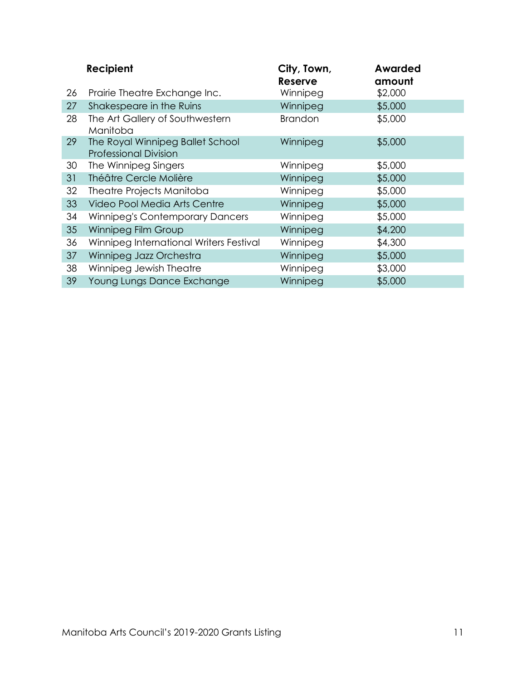|    | Recipient                                                        | City, Town,<br><b>Reserve</b> | <b>Awarded</b><br>amount |
|----|------------------------------------------------------------------|-------------------------------|--------------------------|
| 26 | Prairie Theatre Exchange Inc.                                    | Winnipeg                      | \$2,000                  |
| 27 | Shakespeare in the Ruins                                         | Winnipeg                      | \$5,000                  |
| 28 | The Art Gallery of Southwestern<br>Manitoba                      | <b>Brandon</b>                | \$5,000                  |
| 29 | The Royal Winnipeg Ballet School<br><b>Professional Division</b> | Winnipeg                      | \$5,000                  |
| 30 | The Winnipeg Singers                                             | Winnipeg                      | \$5,000                  |
| 31 | Théâtre Cercle Molière                                           | Winnipeg                      | \$5,000                  |
| 32 | Theatre Projects Manitoba                                        | Winnipeg                      | \$5,000                  |
| 33 | Video Pool Media Arts Centre                                     | Winnipeg                      | \$5,000                  |
| 34 | <b>Winnipeg's Contemporary Dancers</b>                           | Winnipeg                      | \$5,000                  |
| 35 | Winnipeg Film Group                                              | Winnipeg                      | \$4,200                  |
| 36 | Winnipeg International Writers Festival                          | Winnipeg                      | \$4,300                  |
| 37 | Winnipeg Jazz Orchestra                                          | Winnipeg                      | \$5,000                  |
| 38 | Winnipeg Jewish Theatre                                          | Winnipeg                      | \$3,000                  |
| 39 | Young Lungs Dance Exchange                                       | Winnipeg                      | \$5,000                  |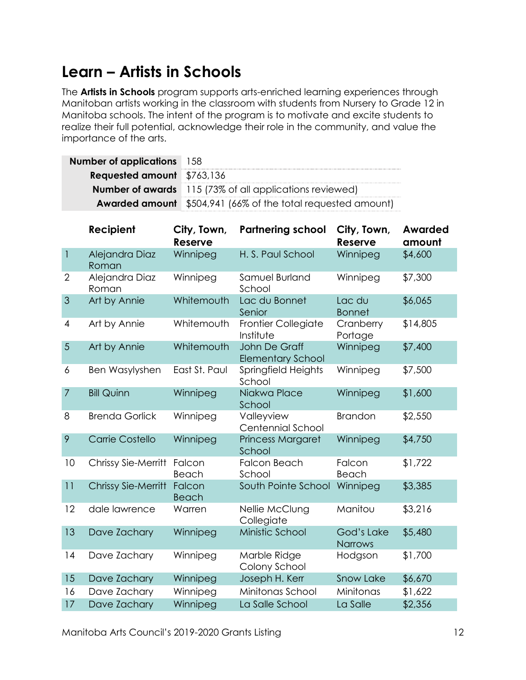#### <span id="page-14-0"></span>**Learn – Artists in Schools**

The **Artists in Schools** program supports arts-enriched learning experiences through Manitoban artists working in the classroom with students from Nursery to Grade 12 in Manitoba schools. The intent of the program is to motivate and excite students to realize their full potential, acknowledge their role in the community, and value the importance of the arts.

| <b>Number of applications</b> 158 |                                                                     |
|-----------------------------------|---------------------------------------------------------------------|
| <b>Requested amount</b> \$763,136 |                                                                     |
|                                   | <b>Number of awards</b> 115 (73% of all applications reviewed)      |
|                                   | <b>Awarded amount</b> \$504,941 (66% of the total requested amount) |

|                           | Recipient                  | City, Town,<br><b>Reserve</b> | <b>Partnering school</b>                  | City, Town,<br>Reserve       | <b>Awarded</b><br>amount |
|---------------------------|----------------------------|-------------------------------|-------------------------------------------|------------------------------|--------------------------|
| $\ensuremath{\mathsf{I}}$ | Alejandra Diaz<br>Roman    | Winnipeg                      | H. S. Paul School                         | Winnipeg                     | \$4,600                  |
| $\overline{2}$            | Alejandra Diaz<br>Roman    | Winnipeg                      | Samuel Burland<br>School                  | Winnipeg                     | \$7,300                  |
| $\overline{3}$            | Art by Annie               | Whitemouth                    | Lac du Bonnet<br>Senior                   | Lac du<br><b>Bonnet</b>      | \$6,065                  |
| 4                         | Art by Annie               | Whitemouth                    | <b>Frontier Collegiate</b><br>Institute   | Cranberry<br>Portage         | \$14,805                 |
| 5                         | Art by Annie               | Whitemouth                    | John De Graff<br><b>Elementary School</b> | Winnipeg                     | \$7,400                  |
| 6                         | Ben Wasylyshen             | East St. Paul                 | Springfield Heights<br>School             | Winnipeg                     | \$7,500                  |
| $\overline{7}$            | <b>Bill Quinn</b>          | Winnipeg                      | Niakwa Place<br>School                    | Winnipeg                     | \$1,600                  |
| 8                         | <b>Brenda Gorlick</b>      | Winnipeg                      | Valleyview<br><b>Centennial School</b>    | <b>Brandon</b>               | \$2,550                  |
| 9                         | <b>Carrie Costello</b>     | Winnipeg                      | <b>Princess Margaret</b><br>School        | Winnipeg                     | \$4,750                  |
| 10                        | Chrissy Sie-Merritt        | Falcon<br>Beach               | <b>Falcon Beach</b><br>School             | Falcon<br>Beach              | \$1,722                  |
| 11                        | <b>Chrissy Sie-Merritt</b> | Falcon<br><b>Beach</b>        | South Pointe School                       | Winnipeg                     | \$3,385                  |
| 12                        | dale lawrence              | Warren                        | Nellie McClung<br>Collegiate              | Manitou                      | \$3,216                  |
| 13                        | Dave Zachary               | Winnipeg                      | Ministic School                           | God's Lake<br><b>Narrows</b> | \$5,480                  |
| 14                        | Dave Zachary               | Winnipeg                      | Marble Ridge<br>Colony School             | Hodgson                      | \$1,700                  |
| 15                        | Dave Zachary               | Winnipeg                      | Joseph H. Kerr                            | <b>Snow Lake</b>             | \$6,670                  |
| 16                        | Dave Zachary               | Winnipeg                      | Minitonas School                          | Minitonas                    | \$1,622                  |
| 17                        | Dave Zachary               | Winnipeg                      | La Salle School                           | La Salle                     | \$2,356                  |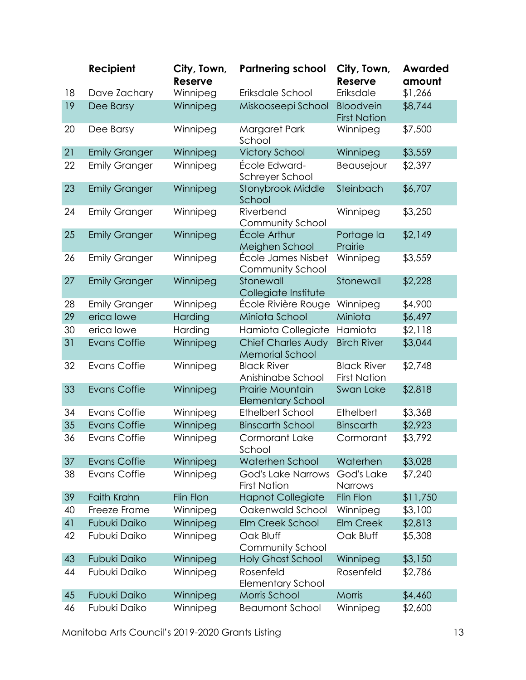|    | Recipient            | City, Town,<br><b>Reserve</b> | <b>Partnering school</b>                            | City, Town,<br>Reserve                    | <b>Awarded</b><br>amount |
|----|----------------------|-------------------------------|-----------------------------------------------------|-------------------------------------------|--------------------------|
| 18 | Dave Zachary         | Winnipeg                      | Eriksdale School                                    | Eriksdale                                 | \$1,266                  |
| 19 | Dee Barsy            | Winnipeg                      | Miskooseepi School                                  | <b>Bloodvein</b><br><b>First Nation</b>   | \$8,744                  |
| 20 | Dee Barsy            | Winnipeg                      | Margaret Park<br>School                             | Winnipeg                                  | \$7,500                  |
| 21 | <b>Emily Granger</b> | Winnipeg                      | <b>Victory School</b>                               | Winnipeg                                  | \$3,559                  |
| 22 | <b>Emily Granger</b> | Winnipeg                      | École Edward-<br>Schreyer School                    | Beausejour                                | \$2,397                  |
| 23 | <b>Emily Granger</b> | Winnipeg                      | Stonybrook Middle<br>School                         | Steinbach                                 | \$6,707                  |
| 24 | <b>Emily Granger</b> | Winnipeg                      | Riverbend<br>Community School                       | Winnipeg                                  | \$3,250                  |
| 25 | <b>Emily Granger</b> | Winnipeg                      | École Arthur<br>Meighen School                      | Portage la<br>Prairie                     | \$2,149                  |
| 26 | <b>Emily Granger</b> | Winnipeg                      | École James Nisbet<br>Community School              | Winnipeg                                  | \$3,559                  |
| 27 | <b>Emily Granger</b> | Winnipeg                      | Stonewall<br>Collegiate Institute                   | Stonewall                                 | \$2,228                  |
| 28 | <b>Emily Granger</b> | Winnipeg                      | École Rivière Rouge                                 | Winnipeg                                  | \$4,900                  |
| 29 | erica lowe           | Harding                       | Miniota School                                      | Miniota                                   | \$6,497                  |
| 30 | erica lowe           | Harding                       | Hamiota Collegiate                                  | Hamiota                                   | \$2,118                  |
| 31 | <b>Evans Coffie</b>  | Winnipeg                      | <b>Chief Charles Audy</b><br><b>Memorial School</b> | <b>Birch River</b>                        | \$3,044                  |
| 32 | Evans Coffie         | Winnipeg                      | <b>Black River</b><br>Anishinabe School             | <b>Black River</b><br><b>First Nation</b> | \$2,748                  |
| 33 | <b>Evans Coffie</b>  | Winnipeg                      | <b>Prairie Mountain</b><br><b>Elementary School</b> | Swan Lake                                 | \$2,818                  |
| 34 | <b>Evans Coffie</b>  | Winnipeg                      | <b>Ethelbert School</b>                             | Ethelbert                                 | \$3,368                  |
| 35 | <b>Evans Coffie</b>  | Winnipeg                      | <b>Binscarth School</b>                             | <b>Binscarth</b>                          | \$2,923                  |
| 36 | <b>Evans Coffie</b>  | Winnipeg                      | <b>Cormorant Lake</b><br>School                     | Cormorant                                 | \$3,792                  |
| 37 | <b>Evans Coffie</b>  | Winnipeg                      | Waterhen School                                     | Waterhen                                  | \$3,028                  |
| 38 | <b>Evans Coffie</b>  | Winnipeg                      | God's Lake Narrows<br><b>First Nation</b>           | God's Lake<br>Narrows                     | \$7,240                  |
| 39 | Faith Krahn          | Flin Flon                     | <b>Hapnot Collegiate</b>                            | Flin Flon                                 | \$11,750                 |
| 40 | Freeze Frame         | Winnipeg                      | Oakenwald School                                    | Winnipeg                                  | \$3,100                  |
| 41 | <b>Fubuki Daiko</b>  | Winnipeg                      | Elm Creek School                                    | <b>Elm Creek</b>                          | \$2,813                  |
| 42 | Fubuki Daiko         | Winnipeg                      | Oak Bluff<br>Community School                       | Oak Bluff                                 | \$5,308                  |
| 43 | <b>Fubuki Daiko</b>  | Winnipeg                      | <b>Holy Ghost School</b>                            | Winnipeg                                  | \$3,150                  |
| 44 | Fubuki Daiko         | Winnipeg                      | Rosenfeld<br><b>Elementary School</b>               | Rosenfeld                                 | \$2,786                  |
| 45 | Fubuki Daiko         | Winnipeg                      | Morris School                                       | Morris                                    | \$4,460                  |
| 46 | Fubuki Daiko         | Winnipeg                      | <b>Beaumont School</b>                              | Winnipeg                                  | \$2,600                  |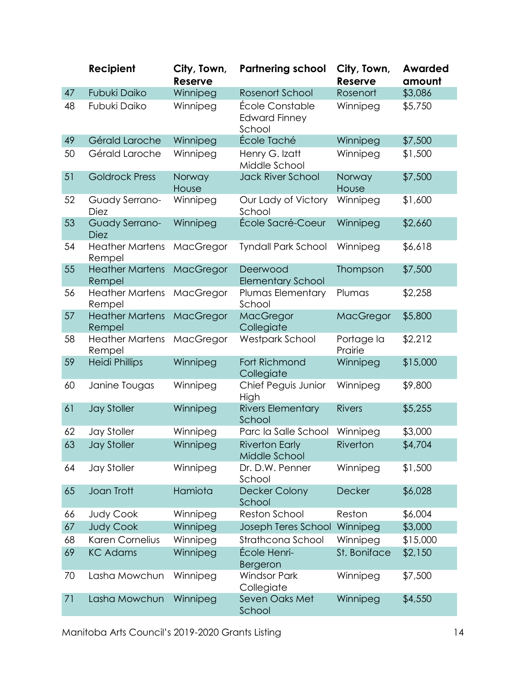|    | Recipient                        | City, Town,<br>Reserve | <b>Partnering school</b>                          | City, Town,<br>Reserve | <b>Awarded</b><br>amount |
|----|----------------------------------|------------------------|---------------------------------------------------|------------------------|--------------------------|
| 47 | Fubuki Daiko                     | Winnipeg               | <b>Rosenort School</b>                            | Rosenort               | \$3,086                  |
| 48 | Fubuki Daiko                     | Winnipeg               | École Constable<br><b>Edward Finney</b><br>School | Winnipeg               | \$5,750                  |
| 49 | Gérald Laroche                   | Winnipeg               | École Taché                                       | Winnipeg               | \$7,500                  |
| 50 | Gérald Laroche                   | Winnipeg               | Henry G. Izatt<br>Middle School                   | Winnipeg               | \$1,500                  |
| 51 | <b>Goldrock Press</b>            | Norway<br>House        | <b>Jack River School</b>                          | Norway<br>House        | \$7,500                  |
| 52 | Guady Serrano-<br><b>Diez</b>    | Winnipeg               | Our Lady of Victory<br>School                     | Winnipeg               | \$1,600                  |
| 53 | Guady Serrano-<br><b>Diez</b>    | Winnipeg               | École Sacré-Coeur                                 | Winnipeg               | \$2,660                  |
| 54 | <b>Heather Martens</b><br>Rempel | MacGregor              | <b>Tyndall Park School</b>                        | Winnipeg               | \$6,618                  |
| 55 | <b>Heather Martens</b><br>Rempel | <b>MacGregor</b>       | Deerwood<br><b>Elementary School</b>              | Thompson               | \$7,500                  |
| 56 | <b>Heather Martens</b><br>Rempel | MacGregor              | Plumas Elementary<br>School                       | Plumas                 | \$2,258                  |
| 57 | <b>Heather Martens</b><br>Rempel | MacGregor              | MacGregor<br>Collegiate                           | <b>MacGregor</b>       | \$5,800                  |
| 58 | <b>Heather Martens</b><br>Rempel | MacGregor              | <b>Westpark School</b>                            | Portage la<br>Prairie  | \$2,212                  |
| 59 | <b>Heidi Phillips</b>            | Winnipeg               | Fort Richmond<br>Collegiate                       | Winnipeg               | \$15,000                 |
| 60 | Janine Tougas                    | Winnipeg               | Chief Peguis Junior<br>High                       | Winnipeg               | \$9,800                  |
| 61 | <b>Jay Stoller</b>               | Winnipeg               | <b>Rivers Elementary</b><br>School                | <b>Rivers</b>          | \$5,255                  |
| 62 | <b>Jay Stoller</b>               | Winnipeg               | Parc la Salle School                              | Winnipeg               | \$3,000                  |
| 63 | Jay Stoller                      | Winnipeg               | <b>Riverton Early</b><br>Middle School            | Riverton               | \$4,704                  |
| 64 | <b>Jay Stoller</b>               | Winnipeg               | Dr. D.W. Penner<br>School                         | Winnipeg               | \$1,500                  |
| 65 | Joan Trott                       | Hamiota                | <b>Decker Colony</b><br>School                    | Decker                 | \$6,028                  |
| 66 | Judy Cook                        | Winnipeg               | <b>Reston School</b>                              | Reston                 | \$6,004                  |
| 67 | <b>Judy Cook</b>                 | Winnipeg               | Joseph Teres School                               | Winnipeg               | \$3,000                  |
| 68 | Karen Cornelius                  | Winnipeg               | Strathcona School                                 | Winnipeg               | \$15,000                 |
| 69 | <b>KC Adams</b>                  | Winnipeg               | École Henri-<br>Bergeron                          | St. Boniface           | \$2,150                  |
| 70 | Lasha Mowchun                    | Winnipeg               | <b>Windsor Park</b><br>Collegiate                 | Winnipeg               | \$7,500                  |
| 71 | Lasha Mowchun                    | Winnipeg               | Seven Oaks Met<br>School                          | Winnipeg               | \$4,550                  |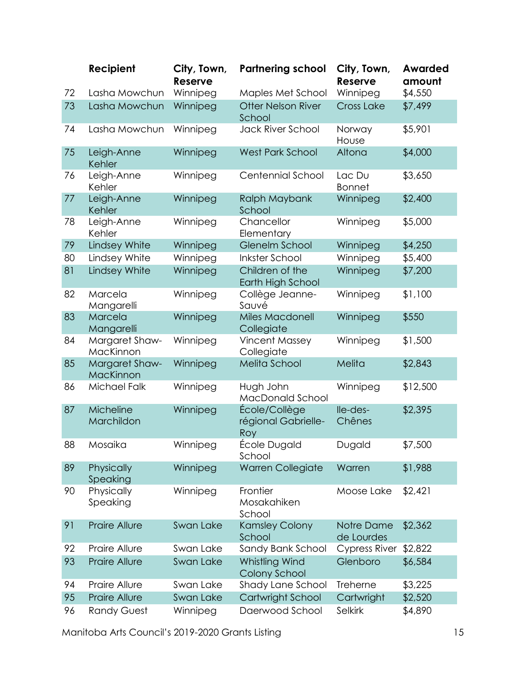|    | Recipient                   | City, Town,<br><b>Reserve</b> | <b>Partnering school</b>                    | City, Town,<br><b>Reserve</b> | <b>Awarded</b><br>amount |
|----|-----------------------------|-------------------------------|---------------------------------------------|-------------------------------|--------------------------|
| 72 | Lasha Mowchun               | Winnipeg                      | Maples Met School                           | Winnipeg                      | \$4,550                  |
| 73 | Lasha Mowchun               | Winnipeg                      | <b>Otter Nelson River</b><br>School         | <b>Cross Lake</b>             | \$7,499                  |
| 74 | Lasha Mowchun               | Winnipeg                      | Jack River School                           | Norway<br>House               | \$5,901                  |
| 75 | Leigh-Anne<br>Kehler        | Winnipeg                      | <b>West Park School</b>                     | Altona                        | \$4,000                  |
| 76 | Leigh-Anne<br>Kehler        | Winnipeg                      | Centennial School                           | Lac Du<br><b>Bonnet</b>       | \$3,650                  |
| 77 | Leigh-Anne<br>Kehler        | Winnipeg                      | Ralph Maybank<br>School                     | Winnipeg                      | \$2,400                  |
| 78 | Leigh-Anne<br>Kehler        | Winnipeg                      | Chancellor<br>Elementary                    | Winnipeg                      | \$5,000                  |
| 79 | Lindsey White               | Winnipeg                      | <b>Glenelm School</b>                       | Winnipeg                      | \$4,250                  |
| 80 | Lindsey White               | Winnipeg                      | <b>Inkster School</b>                       | Winnipeg                      | \$5,400                  |
| 81 | Lindsey White               | Winnipeg                      | Children of the<br>Earth High School        | Winnipeg                      | \$7,200                  |
| 82 | Marcela<br>Mangarelli       | Winnipeg                      | Collège Jeanne-<br>Sauvé                    | Winnipeg                      | \$1,100                  |
| 83 | Marcela<br>Mangarelli       | Winnipeg                      | <b>Miles Macdonell</b><br>Collegiate        | Winnipeg                      | \$550                    |
| 84 | Margaret Shaw-<br>MacKinnon | Winnipeg                      | <b>Vincent Massey</b><br>Collegiate         | Winnipeg                      | \$1,500                  |
| 85 | Margaret Shaw-<br>MacKinnon | Winnipeg                      | Melita School                               | Melita                        | \$2,843                  |
| 86 | Michael Falk                | Winnipeg                      | Hugh John<br>MacDonald School               | Winnipeg                      | \$12,500                 |
| 87 | Micheline<br>Marchildon     | Winnipeg                      | École/Collège<br>régional Gabrielle-<br>Roy | lle-des-<br>Chênes            | \$2,395                  |
| 88 | Mosaika                     | Winnipeg                      | École Dugald<br>School                      | Dugald                        | \$7,500                  |
| 89 | Physically<br>Speaking      | Winnipeg                      | Warren Collegiate                           | Warren                        | \$1,988                  |
| 90 | Physically<br>Speaking      | Winnipeg                      | Frontier<br>Mosakahiken<br>School           | Moose Lake                    | \$2,421                  |
| 91 | <b>Praire Allure</b>        | Swan Lake                     | <b>Kamsley Colony</b><br>School             | Notre Dame<br>de Lourdes      | \$2,362                  |
| 92 | Praire Allure               | Swan Lake                     | Sandy Bank School                           | Cypress River                 | \$2,822                  |
| 93 | Praire Allure               | Swan Lake                     | Whistling Wind<br>Colony School             | Glenboro                      | \$6,584                  |
| 94 | Praire Allure               | Swan Lake                     | Shady Lane School                           | Treherne                      | \$3,225                  |
| 95 | <b>Praire Allure</b>        | Swan Lake                     | Cartwright School                           | Cartwright                    | \$2,520                  |
| 96 | <b>Randy Guest</b>          | Winnipeg                      | Daerwood School                             | Selkirk                       | \$4,890                  |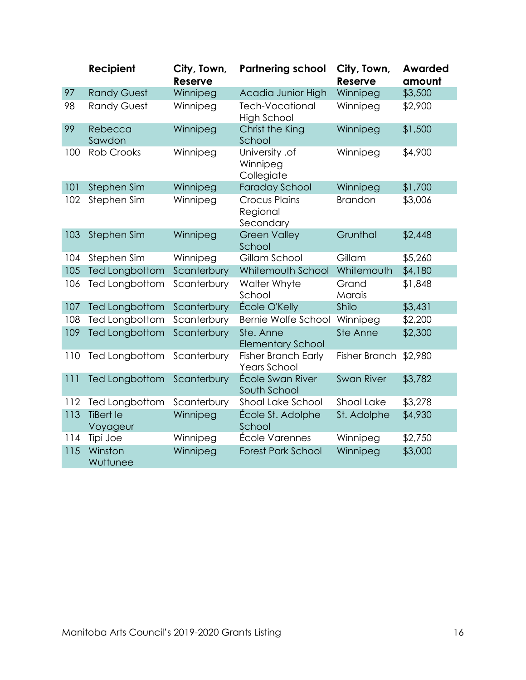|     | Recipient                    | City, Town,<br><b>Reserve</b> | <b>Partnering school</b>                          | City, Town,<br>Reserve | <b>Awarded</b><br>amount |
|-----|------------------------------|-------------------------------|---------------------------------------------------|------------------------|--------------------------|
| 97  | <b>Randy Guest</b>           | Winnipeg                      | Acadia Junior High                                | Winnipeg               | \$3,500                  |
| 98  | <b>Randy Guest</b>           | Winnipeg                      | <b>Tech-Vocational</b><br><b>High School</b>      | Winnipeg               | \$2,900                  |
| 99  | Rebecca<br>Sawdon            | Winnipeg                      | Christ the King<br>School                         | Winnipeg               | \$1,500                  |
| 100 | <b>Rob Crooks</b>            | Winnipeg                      | University .of<br>Winnipeg<br>Collegiate          | Winnipeg               | \$4,900                  |
| 101 | Stephen Sim                  | Winnipeg                      | <b>Faraday School</b>                             | Winnipeg               | \$1,700                  |
| 102 | Stephen Sim                  | Winnipeg                      | <b>Crocus Plains</b><br>Regional<br>Secondary     | <b>Brandon</b>         | \$3,006                  |
| 103 | Stephen Sim                  | Winnipeg                      | <b>Green Valley</b><br>School                     | Grunthal               | \$2,448                  |
| 104 | Stephen Sim                  | Winnipeg                      | Gillam School                                     | Gillam                 | \$5,260                  |
| 105 | <b>Ted Longbottom</b>        | Scanterbury                   | Whitemouth School                                 | Whitemouth             | \$4,180                  |
| 106 | Ted Longbottom               | Scanterbury                   | Walter Whyte<br>School                            | Grand<br>Marais        | \$1,848                  |
| 107 | Ted Longbottom               | Scanterbury                   | École O'Kelly                                     | Shilo                  | \$3,431                  |
| 108 | Ted Longbottom               | Scanterbury                   | <b>Bernie Wolfe School</b>                        | Winnipeg               | \$2,200                  |
| 109 | <b>Ted Longbottom</b>        | Scanterbury                   | Ste. Anne<br><b>Elementary School</b>             | Ste Anne               | \$2,300                  |
| 110 | Ted Longbottom               | Scanterbury                   | <b>Fisher Branch Early</b><br><b>Years School</b> | Fisher Branch          | \$2,980                  |
| 111 | <b>Ted Longbottom</b>        | Scanterbury                   | École Swan River<br>South School                  | <b>Swan River</b>      | \$3,782                  |
| 112 | Ted Longbottom               | Scanterbury                   | Shoal Lake School                                 | Shoal Lake             | \$3,278                  |
| 113 | <b>TiBert le</b><br>Voyageur | Winnipeg                      | École St. Adolphe<br>School                       | St. Adolphe            | \$4,930                  |
| 114 | Tipi Joe                     | Winnipeg                      | École Varennes                                    | Winnipeg               | \$2,750                  |
| 115 | Winston<br>Wuttunee          | Winnipeg                      | <b>Forest Park School</b>                         | Winnipeg               | \$3,000                  |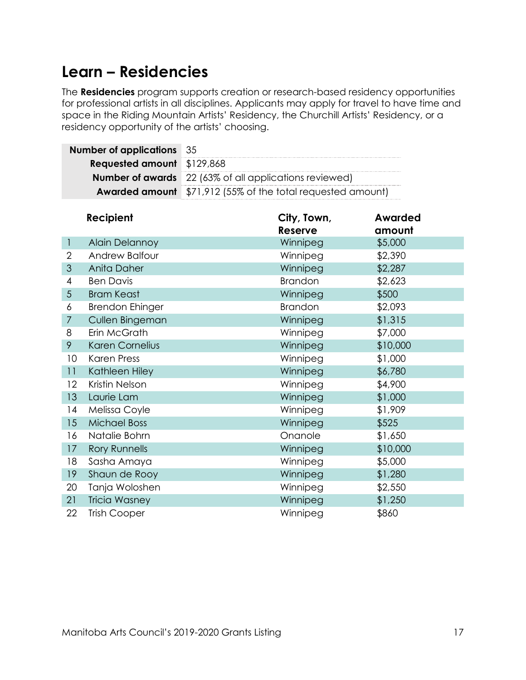#### <span id="page-19-0"></span>**Learn – Residencies**

The **Residencies** program supports creation or research-based residency opportunities for professional artists in all disciplines. Applicants may apply for travel to have time and space in the Riding Mountain Artists' Residency, the Churchill Artists' Residency, or a residency opportunity of the artists' choosing.

| <b>Number of applications</b> 35  |                                                                    |
|-----------------------------------|--------------------------------------------------------------------|
| <b>Requested amount</b> \$129,868 |                                                                    |
|                                   | <b>Number of awards</b> 22 (63% of all applications reviewed)      |
|                                   | <b>Awarded amount</b> \$71,912 (55% of the total requested amount) |

|                | Recipient              | City, Town,<br><b>Reserve</b> | <b>Awarded</b><br>amount |
|----------------|------------------------|-------------------------------|--------------------------|
| $\mathbf{1}$   | <b>Alain Delannoy</b>  | Winnipeg                      | \$5,000                  |
| 2              | Andrew Balfour         | Winnipeg                      | \$2,390                  |
| 3              | Anita Daher            | Winnipeg                      | \$2,287                  |
| $\overline{4}$ | <b>Ben Davis</b>       | <b>Brandon</b>                | \$2,623                  |
| $\overline{5}$ | <b>Bram Keast</b>      | Winnipeg                      | \$500                    |
| 6              | <b>Brendon Ehinger</b> | <b>Brandon</b>                | \$2,093                  |
| $\overline{7}$ | Cullen Bingeman        | Winnipeg                      | \$1,315                  |
| 8              | Erin McGrath           | Winnipeg                      | \$7,000                  |
| 9              | Karen Cornelius        | Winnipeg                      | \$10,000                 |
| 10             | <b>Karen Press</b>     | Winnipeg                      | \$1,000                  |
| 11             | Kathleen Hiley         | Winnipeg                      | \$6,780                  |
| 12             | Kristin Nelson         | Winnipeg                      | \$4,900                  |
| 13             | Laurie Lam             | Winnipeg                      | \$1,000                  |
| 14             | Melissa Coyle          | Winnipeg                      | \$1,909                  |
| 15             | <b>Michael Boss</b>    | Winnipeg                      | \$525                    |
| 16             | Natalie Bohrn          | Onanole                       | \$1,650                  |
| 17             | <b>Rory Runnells</b>   | Winnipeg                      | \$10,000                 |
| 18             | Sasha Amaya            | Winnipeg                      | \$5,000                  |
| 19             | Shaun de Rooy          | Winnipeg                      | \$1,280                  |
| 20             | Tanja Woloshen         | Winnipeg                      | \$2,550                  |
| 21             | <b>Tricia Wasney</b>   | Winnipeg                      | \$1,250                  |
| 22             | <b>Trish Cooper</b>    | Winnipeg                      | \$860                    |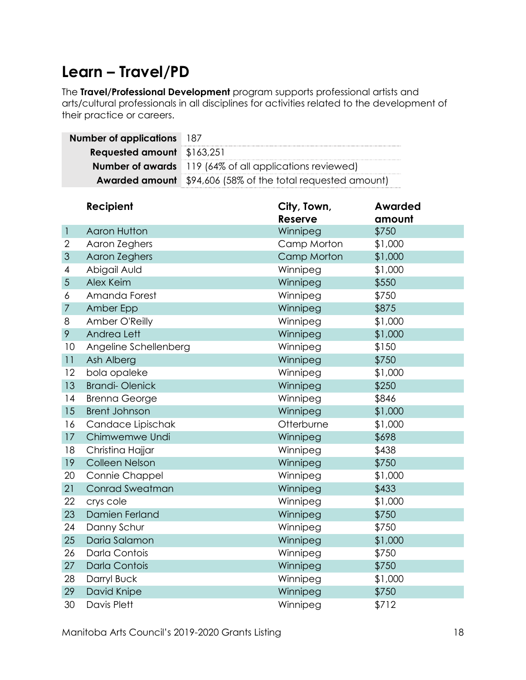#### <span id="page-20-0"></span>**Learn – Travel/PD**

The **Travel/Professional Development** program supports professional artists and arts/cultural professionals in all disciplines for activities related to the development of their practice or careers.

| <b>Number of applications</b> 187 |                                                                    |
|-----------------------------------|--------------------------------------------------------------------|
| <b>Requested amount</b> \$163,251 |                                                                    |
|                                   | <b>Number of awards</b> 119 (64% of all applications reviewed)     |
|                                   | <b>Awarded amount</b> \$94,606 (58% of the total requested amount) |

|                | Recipient              | City, Town,<br><b>Reserve</b> | <b>Awarded</b><br>amount |
|----------------|------------------------|-------------------------------|--------------------------|
| $\mathbf{I}$   | <b>Aaron Hutton</b>    | Winnipeg                      | \$750                    |
| $\overline{2}$ | Aaron Zeghers          | Camp Morton                   | \$1,000                  |
| 3              | Aaron Zeghers          | Camp Morton                   | \$1,000                  |
| 4              | Abigail Auld           | Winnipeg                      | \$1,000                  |
| 5              | Alex Keim              | Winnipeg                      | \$550                    |
| 6              | Amanda Forest          | Winnipeg                      | \$750                    |
| $\overline{7}$ | Amber Epp              | Winnipeg                      | \$875                    |
| 8              | Amber O'Reilly         | Winnipeg                      | \$1,000                  |
| 9              | Andrea Lett            | Winnipeg                      | \$1,000                  |
| 10             | Angeline Schellenberg  | Winnipeg                      | \$150                    |
| 11             | Ash Alberg             | Winnipeg                      | \$750                    |
| 12             | bola opaleke           | Winnipeg                      | \$1,000                  |
| 13             | <b>Brandi-Olenick</b>  | Winnipeg                      | \$250                    |
| 14             | <b>Brenna George</b>   | Winnipeg                      | \$846                    |
| 15             | <b>Brent Johnson</b>   | Winnipeg                      | \$1,000                  |
| 16             | Candace Lipischak      | Otterburne                    | \$1,000                  |
| 17             | Chimwemwe Undi         | Winnipeg                      | \$698                    |
| 18             | Christina Hajjar       | Winnipeg                      | \$438                    |
| 19             | Colleen Nelson         | Winnipeg                      | \$750                    |
| 20             | Connie Chappel         | Winnipeg                      | \$1,000                  |
| 21             | <b>Conrad Sweatman</b> | Winnipeg                      | \$433                    |
| 22             | crys cole              | Winnipeg                      | \$1,000                  |
| 23             | Damien Ferland         | Winnipeg                      | \$750                    |
| 24             | Danny Schur            | Winnipeg                      | \$750                    |
| 25             | Daria Salamon          | Winnipeg                      | \$1,000                  |
| 26             | Darla Contois          | Winnipeg                      | \$750                    |
| 27             | <b>Darla Contois</b>   | Winnipeg                      | \$750                    |
| 28             | Darryl Buck            | Winnipeg                      | \$1,000                  |
| 29             | David Knipe            | Winnipeg                      | \$750                    |
| 30             | Davis Plett            | Winnipeg                      | \$712                    |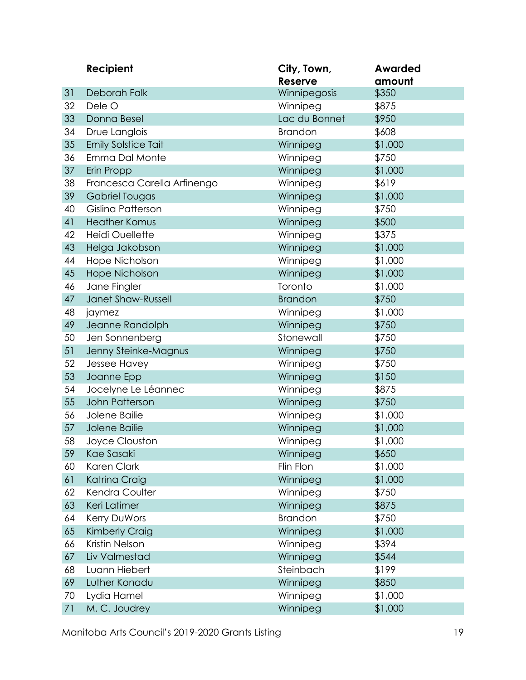|    | Recipient                   | City, Town,<br><b>Reserve</b> | <b>Awarded</b><br>amount |
|----|-----------------------------|-------------------------------|--------------------------|
| 31 | Deborah Falk                | Winnipegosis                  | \$350                    |
| 32 | Dele O                      | Winnipeg                      | \$875                    |
| 33 | Donna Besel                 | Lac du Bonnet                 | \$950                    |
| 34 | Drue Langlois               | <b>Brandon</b>                | \$608                    |
| 35 | <b>Emily Solstice Tait</b>  | Winnipeg                      | \$1,000                  |
| 36 | Emma Dal Monte              | Winnipeg                      | \$750                    |
| 37 | Erin Propp                  | Winnipeg                      | \$1,000                  |
| 38 | Francesca Carella Arfinengo | Winnipeg                      | \$619                    |
| 39 | Gabriel Tougas              | Winnipeg                      | \$1,000                  |
| 40 | Gislina Patterson           | Winnipeg                      | \$750                    |
| 41 | <b>Heather Komus</b>        | Winnipeg                      | \$500                    |
| 42 | <b>Heidi Ouellette</b>      | Winnipeg                      | \$375                    |
| 43 | Helga Jakobson              | Winnipeg                      | \$1,000                  |
| 44 | Hope Nicholson              | Winnipeg                      | \$1,000                  |
| 45 | <b>Hope Nicholson</b>       | Winnipeg                      | \$1,000                  |
| 46 | Jane Fingler                | Toronto                       | \$1,000                  |
| 47 | Janet Shaw-Russell          | <b>Brandon</b>                | \$750                    |
| 48 | jaymez                      | Winnipeg                      | \$1,000                  |
| 49 | Jeanne Randolph             | Winnipeg                      | \$750                    |
| 50 | Jen Sonnenberg              | Stonewall                     | \$750                    |
| 51 | Jenny Steinke-Magnus        | Winnipeg                      | \$750                    |
| 52 | Jessee Havey                | Winnipeg                      | \$750                    |
| 53 | Joanne Epp                  | Winnipeg                      | \$150                    |
| 54 | Jocelyne Le Léannec         | Winnipeg                      | \$875                    |
| 55 | John Patterson              | Winnipeg                      | \$750                    |
| 56 | Jolene Bailie               | Winnipeg                      | \$1,000                  |
| 57 | Jolene Bailie               | Winnipeg                      | \$1,000                  |
| 58 | Joyce Clouston              | Winnipeg                      | \$1,000                  |
| 59 | Kae Sasaki                  | Winnipeg                      | \$650                    |
| 60 | Karen Clark                 | Flin Flon                     | \$1,000                  |
| 61 | Katrina Craig               | Winnipeg                      | \$1,000                  |
| 62 | Kendra Coulter              | Winnipeg                      | \$750                    |
| 63 | Keri Latimer                | Winnipeg                      | \$875                    |
| 64 | Kerry DuWors                | <b>Brandon</b>                | \$750                    |
| 65 | Kimberly Craig              | Winnipeg                      | \$1,000                  |
| 66 | Kristin Nelson              | Winnipeg                      | \$394                    |
| 67 | Liv Valmestad               | Winnipeg                      | \$544                    |
| 68 | Luann Hiebert               | Steinbach                     | \$199                    |
| 69 | Luther Konadu               | Winnipeg                      | \$850                    |
| 70 | Lydia Hamel                 | Winnipeg                      | \$1,000                  |
| 71 | M. C. Joudrey               | Winnipeg                      | \$1,000                  |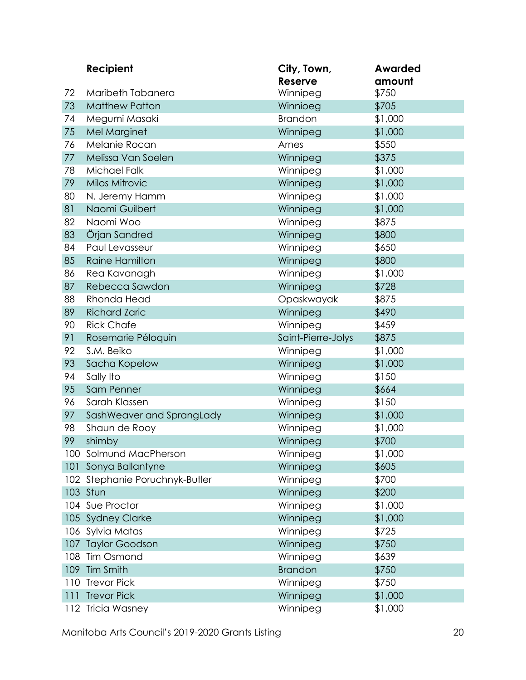|     | Recipient                  | City, Town,<br><b>Reserve</b> | <b>Awarded</b><br>amount |
|-----|----------------------------|-------------------------------|--------------------------|
| 72  | Maribeth Tabanera          | Winnipeg                      | \$750                    |
| 73  | <b>Matthew Patton</b>      | Winnioeg                      | \$705                    |
| 74  | Megumi Masaki              | <b>Brandon</b>                | \$1,000                  |
| 75  | Mel Marginet               | Winnipeg                      | \$1,000                  |
| 76  | Melanie Rocan              | Arnes                         | \$550                    |
| 77  | Melissa Van Soelen         | Winnipeg                      | \$375                    |
| 78  | Michael Falk               | Winnipeg                      | \$1,000                  |
| 79  | Milos Mitrovic             | Winnipeg                      | \$1,000                  |
| 80  | N. Jeremy Hamm             | Winnipeg                      | \$1,000                  |
| 81  | Naomi Guilbert             | Winnipeg                      | \$1,000                  |
| 82  | Naomi Woo                  | Winnipeg                      | \$875                    |
| 83  | Örjan Sandred              | Winnipeg                      | \$800                    |
| 84  | Paul Levasseur             | Winnipeg                      | \$650                    |
| 85  | <b>Raine Hamilton</b>      | Winnipeg                      | \$800                    |
| 86  | Rea Kavanagh               | Winnipeg                      | \$1,000                  |
| 87  | Rebecca Sawdon             | Winnipeg                      | \$728                    |
| 88  | <b>Rhonda Head</b>         | Opaskwayak                    | \$875                    |
| 89  | <b>Richard Zaric</b>       | Winnipeg                      | \$490                    |
| 90  | <b>Rick Chafe</b>          | Winnipeg                      | \$459                    |
| 91  | Rosemarie Péloquin         | Saint-Pierre-Jolys            | \$875                    |
| 92  | S.M. Beiko                 | Winnipeg                      | \$1,000                  |
| 93  | Sacha Kopelow              | Winnipeg                      | \$1,000                  |
| 94  | Sally Ito                  | Winnipeg                      | \$150                    |
| 95  | Sam Penner                 | Winnipeg                      | \$664                    |
| 96  | Sarah Klassen              | Winnipeg                      | \$150                    |
| 97  | SashWeaver and SprangLady  | Winnipeg                      | \$1,000                  |
| 98  | Shaun de Rooy              | Winnipeg                      | \$1,000                  |
| 99  | shimby                     | Winnipeg                      | \$700                    |
|     | 100 Solmund MacPherson     | Winnipeg                      | \$1,000                  |
| 101 | Sonya Ballantyne           | Winnipeg                      | \$605                    |
| 102 | Stephanie Poruchnyk-Butler | Winnipeg                      | \$700                    |
|     | 103 Stun                   | Winnipeg                      | \$200                    |
|     | 104 Sue Proctor            | Winnipeg                      | \$1,000                  |
|     | 105 Sydney Clarke          | Winnipeg                      | \$1,000                  |
| 106 | Sylvia Matas               | Winnipeg                      | \$725                    |
| 107 | <b>Taylor Goodson</b>      | Winnipeg                      | \$750                    |
| 108 | <b>Tim Osmond</b>          | Winnipeg                      | \$639                    |
| 109 | Tim Smith                  | <b>Brandon</b>                | \$750                    |
| 110 | <b>Trevor Pick</b>         | Winnipeg                      | \$750                    |
| 111 | <b>Trevor Pick</b>         | Winnipeg                      | \$1,000                  |
|     | 112 Tricia Wasney          | Winnipeg                      | \$1,000                  |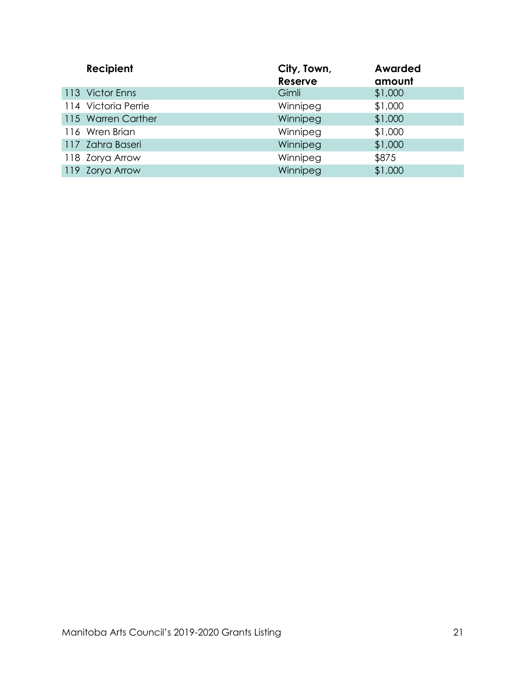| Recipient           | City, Town,<br><b>Reserve</b> | <b>Awarded</b><br>amount |
|---------------------|-------------------------------|--------------------------|
| 113 Victor Enns     | Gimli                         | \$1,000                  |
| 114 Victoria Perrie | Winnipeg                      | \$1,000                  |
| 115 Warren Carther  | Winnipeg                      | \$1,000                  |
| 116 Wren Brian      | Winnipeg                      | \$1,000                  |
| 117 Zahra Baseri    | Winnipeg                      | \$1,000                  |
| 118 Zorya Arrow     | Winnipeg                      | \$875                    |
| 119 Zorya Arrow     | Winnipeg                      | \$1,000                  |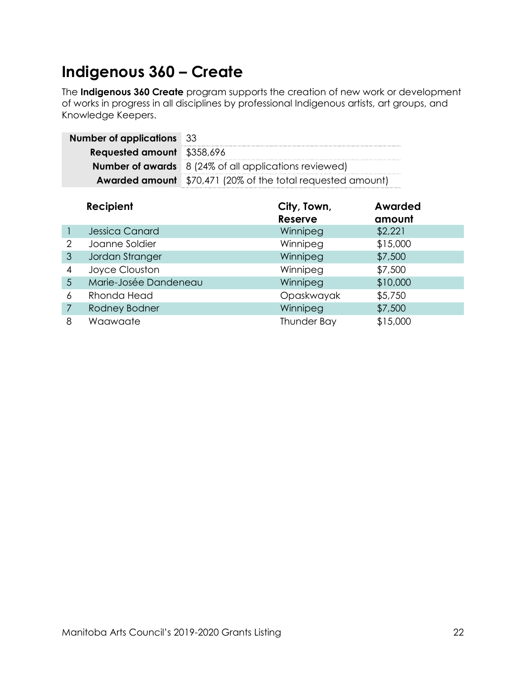### <span id="page-24-0"></span>**Indigenous 360 – Create**

The **Indigenous 360 Create** program supports the creation of new work or development of works in progress in all disciplines by professional Indigenous artists, art groups, and Knowledge Keepers.

| <b>Number of applications</b> 33  |                                                                    |
|-----------------------------------|--------------------------------------------------------------------|
| <b>Requested amount</b> \$358,696 |                                                                    |
|                                   | <b>Number of awards</b> 8 (24% of all applications reviewed)       |
|                                   | <b>Awarded amount</b> \$70,471 (20% of the total requested amount) |

|                | Recipient             | City, Town,<br><b>Reserve</b> | Awarded<br>amount |
|----------------|-----------------------|-------------------------------|-------------------|
|                | <b>Jessica Canard</b> | Winnipeg                      | \$2,221           |
| 2              | Joanne Soldier        | Winnipeg                      | \$15,000          |
| 3              | Jordan Stranger       | Winnipeg                      | \$7,500           |
| 4              | Joyce Clouston        | Winnipeg                      | \$7,500           |
| $\overline{5}$ | Marie-Josée Dandeneau | Winnipeg                      | \$10,000          |
| 6              | Rhonda Head           | Opaskwayak                    | \$5,750           |
| 7              | Rodney Bodner         | Winnipeg                      | \$7,500           |
| 8              | Waawaate              | <b>Thunder Bay</b>            | \$15,000          |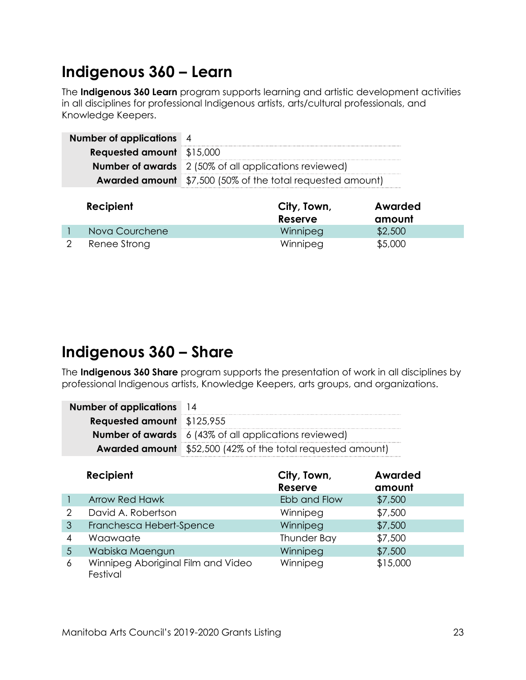#### <span id="page-25-0"></span>**Indigenous 360 – Learn**

The **Indigenous 360 Learn** program supports learning and artistic development activities in all disciplines for professional Indigenous artists, arts/cultural professionals, and Knowledge Keepers.

| <b>Number of applications</b> 4  |                                                                   |
|----------------------------------|-------------------------------------------------------------------|
| <b>Requested amount</b> \$15,000 |                                                                   |
|                                  | <b>Number of awards</b> 2 (50% of all applications reviewed)      |
|                                  | <b>Awarded amount</b> \$7,500 (50% of the total requested amount) |

| Recipient      | City, Town,<br>Reserve | Awarded<br>amount |
|----------------|------------------------|-------------------|
| Nova Courchene | Winnipeg               | \$2,500           |
| Renee Strong   | Winnipeg               | \$5,000           |

#### <span id="page-25-1"></span>**Indigenous 360 – Share**

The **Indigenous 360 Share** program supports the presentation of work in all disciplines by professional Indigenous artists, Knowledge Keepers, arts groups, and organizations.

| <b>Number of applications</b> 14  |                                                                    |
|-----------------------------------|--------------------------------------------------------------------|
| <b>Requested amount</b> \$125,955 |                                                                    |
|                                   | <b>Number of awards</b> 6 (43% of all applications reviewed)       |
|                                   | <b>Awarded amount</b> \$52,500 (42% of the total requested amount) |

|   | <b>Recipient</b>                               | City, Town,<br>Reserve | Awarded<br>amount |
|---|------------------------------------------------|------------------------|-------------------|
|   | <b>Arrow Red Hawk</b>                          | Ebb and Flow           | \$7,500           |
| 2 | David A. Robertson                             | Winnipeg               | \$7,500           |
| 3 | Franchesca Hebert-Spence                       | Winnipeg               | \$7,500           |
| 4 | Waawaate                                       | <b>Thunder Bay</b>     | \$7,500           |
| 5 | Wabiska Maengun                                | Winnipeg               | \$7,500           |
| 6 | Winnipeg Aboriginal Film and Video<br>Festival | Winnipeg               | \$15,000          |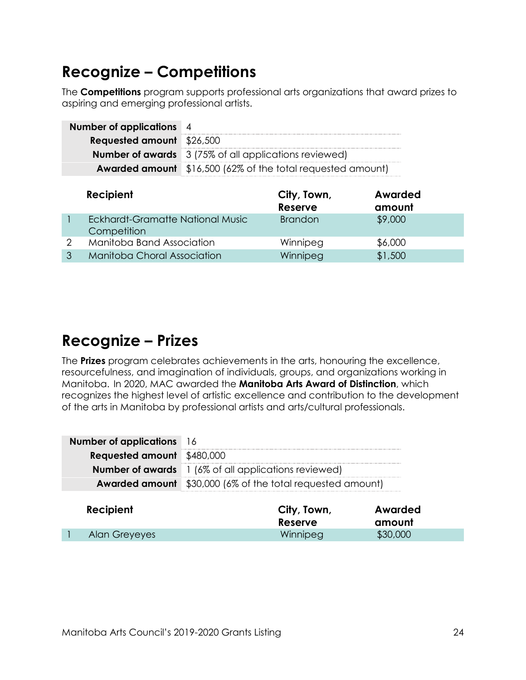#### <span id="page-26-0"></span>**Recognize – Competitions**

The **Competitions** program supports professional arts organizations that award prizes to aspiring and emerging professional artists.

| <b>Requested amount</b> \$26,500<br><b>Number of awards</b> 3 (75% of all applications reviewed) | <b>Number of applications</b> 4 |  |
|--------------------------------------------------------------------------------------------------|---------------------------------|--|
|                                                                                                  |                                 |  |
|                                                                                                  |                                 |  |
| <b>Awarded amount</b> \$16,500 (62% of the total requested amount)                               |                                 |  |

|              | Recipient                                       | City, Town,<br><b>Reserve</b> | Awarded<br>amount |
|--------------|-------------------------------------------------|-------------------------------|-------------------|
|              | Eckhardt-Gramatte National Music<br>Competition | <b>Brandon</b>                | \$9,000           |
| ◠            | Manitoba Band Association                       | Winnipeg                      | \$6,000           |
| $\mathbf{P}$ | Manitoba Choral Association                     | Winnipeg                      | \$1,500           |

### <span id="page-26-1"></span>**Recognize – Prizes**

The **Prizes** program celebrates achievements in the arts, honouring the excellence, resourcefulness, and imagination of individuals, groups, and organizations working in Manitoba. In 2020, MAC awarded the **Manitoba Arts Award of Distinction**, which recognizes the highest level of artistic excellence and contribution to the development of the arts in Manitoba by professional artists and arts/cultural professionals.

| <b>Number of applications</b> 16  |                                                                   |
|-----------------------------------|-------------------------------------------------------------------|
| <b>Requested amount</b> \$480,000 |                                                                   |
|                                   | <b>Number of awards</b> 1 (6% of all applications reviewed)       |
|                                   | <b>Awarded amount</b> \$30,000 (6% of the total requested amount) |
|                                   |                                                                   |

| Recipient     | City, Town,<br>Reserve | Awarded<br>amount |
|---------------|------------------------|-------------------|
| Alan Greyeyes | Winnipeg               | \$30,000          |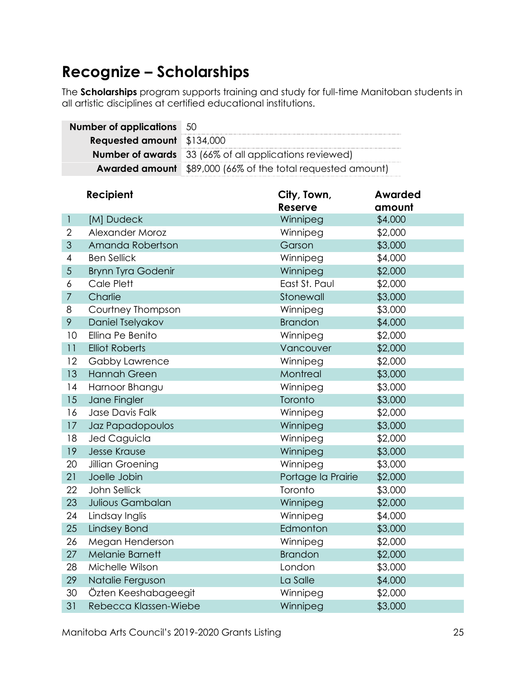### <span id="page-27-0"></span>**Recognize – Scholarships**

The **Scholarships** program supports training and study for full-time Manitoban students in all artistic disciplines at certified educational institutions.

|                         | <b>Number of applications</b> | 50                                    |                                              |                |
|-------------------------|-------------------------------|---------------------------------------|----------------------------------------------|----------------|
| <b>Requested amount</b> |                               | \$134,000                             |                                              |                |
| <b>Number of awards</b> |                               | 33 (66% of all applications reviewed) |                                              |                |
|                         | <b>Awarded amount</b>         |                                       | \$89,000 (66% of the total requested amount) |                |
|                         |                               |                                       |                                              |                |
|                         | Recipient                     |                                       | City, Town,                                  | <b>Awarded</b> |
|                         |                               |                                       | <b>Reserve</b>                               | amount         |
| $\mathbf{I}$            | [M] Dudeck                    |                                       | Winnipeg                                     | \$4,000        |
| 2                       | Alexander Moroz               |                                       | Winnipeg                                     | \$2,000        |
| 3                       | Amanda Robertson              |                                       | Garson                                       | \$3,000        |
| 4                       | <b>Ben Sellick</b>            |                                       | Winnipeg                                     | \$4,000        |
| 5                       | <b>Brynn Tyra Godenir</b>     |                                       | Winnipeg                                     | \$2,000        |
| 6                       | Cale Plett                    |                                       | East St. Paul                                | \$2,000        |
| $\overline{7}$          | Charlie                       |                                       | Stonewall                                    | \$3,000        |
| 8                       | Courtney Thompson             |                                       | Winnipeg                                     | \$3,000        |
| 9                       | Daniel Tselyakov              |                                       | <b>Brandon</b>                               | \$4,000        |
| 10                      | Ellina Pe Benito              |                                       | Winnipeg                                     | \$2,000        |
| 11                      | <b>Elliot Roberts</b>         |                                       | Vancouver                                    | \$2,000        |
| 12                      | Gabby Lawrence                |                                       | Winnipeg                                     | \$2,000        |
| 13                      | <b>Hannah Green</b>           |                                       | Montreal                                     | \$3,000        |
| 14                      | Harnoor Bhangu                |                                       | Winnipeg                                     | \$3,000        |
| 15                      | Jane Fingler                  |                                       | Toronto                                      | \$3,000        |
| 16                      | Jase Davis Falk               |                                       | Winnipeg                                     | \$2,000        |
| 17                      | Jaz Papadopoulos              |                                       | Winnipeg                                     | \$3,000        |
| 18                      | Jed Caguicla                  |                                       | Winnipeg                                     | \$2,000        |
| 19                      | <b>Jesse Krause</b>           |                                       | Winnipeg                                     | \$3,000        |
| 20                      | Jillian Groening              |                                       | Winnipeg                                     | \$3,000        |
| 21                      | Joelle Jobin                  |                                       | Portage la Prairie                           | \$2,000        |
| 22                      | <b>John Sellick</b>           |                                       | Toronto                                      | \$3,000        |
| 23                      | Julious Gambalan              |                                       | Winnipeg                                     | \$2,000        |
| 24                      | Lindsay Inglis                |                                       | Winnipeg                                     | \$4,000        |
| 25                      | <b>Lindsey Bond</b>           |                                       | Edmonton                                     | \$3,000        |
| 26                      | Megan Henderson               |                                       | Winnipeg                                     | \$2,000        |
| 27                      | <b>Melanie Barnett</b>        |                                       | <b>Brandon</b>                               | \$2,000        |
| 28                      | Michelle Wilson               |                                       | London                                       | \$3,000        |
| 29                      | Natalie Ferguson              |                                       | La Salle                                     | \$4,000        |
| 30                      | Özten Keeshabageegit          |                                       | Winnipeg                                     | \$2,000        |
| 31                      | Rebecca Klassen-Wiebe         |                                       | Winnipeg                                     | \$3,000        |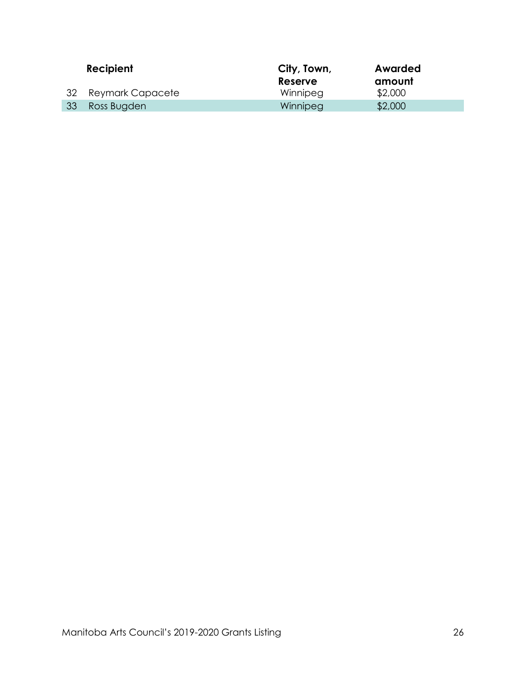|     | Recipient        | City, Town,<br>Reserve | Awarded<br>amount |
|-----|------------------|------------------------|-------------------|
| -32 | Reymark Capacete | Winnipeg               | \$2,000           |
| 33  | Ross Bugden      | Winnipeg               | \$2,000           |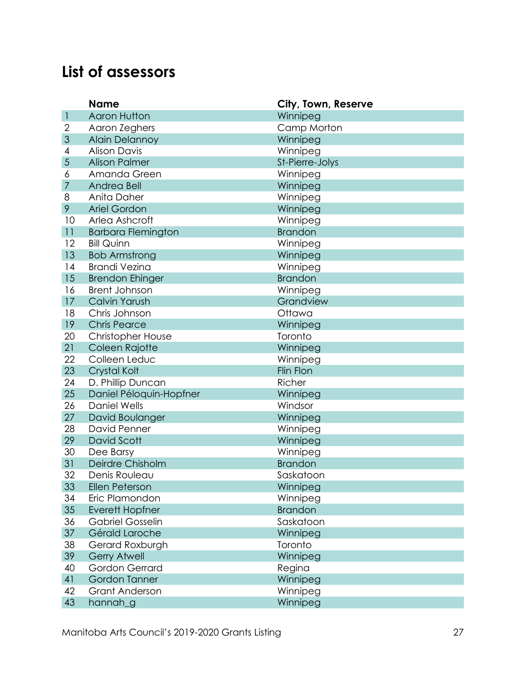#### <span id="page-29-0"></span>**List of assessors**

|                | <b>Name</b>               | City, Town, Reserve |
|----------------|---------------------------|---------------------|
| $\mathbf{I}$   | <b>Aaron Hutton</b>       | Winnipeg            |
| $\overline{2}$ | Aaron Zeghers             | Camp Morton         |
| 3              | <b>Alain Delannoy</b>     | Winnipeg            |
| 4              | <b>Alison Davis</b>       | Winnipeg            |
| 5              | <b>Alison Palmer</b>      | St-Pierre-Jolys     |
| 6              | Amanda Green              | Winnipeg            |
| $\overline{7}$ | Andrea Bell               | Winnipeg            |
| 8              | Anita Daher               | Winnipeg            |
| 9              | <b>Ariel Gordon</b>       | Winnipeg            |
| 10             | Arlea Ashcroft            | Winnipeg            |
| 11             | <b>Barbara Flemington</b> | <b>Brandon</b>      |
| 12             | <b>Bill Quinn</b>         | Winnipeg            |
| 13             | <b>Bob Armstrong</b>      | Winnipeg            |
| 14             | <b>Brandi Vezina</b>      | Winnipeg            |
| 15             | <b>Brendon Ehinger</b>    | <b>Brandon</b>      |
| 16             | <b>Brent Johnson</b>      | Winnipeg            |
| 17             | <b>Calvin Yarush</b>      | Grandview           |
| 18             | Chris Johnson             | Ottawa              |
| 19             | <b>Chris Pearce</b>       | Winnipeg            |
| 20             | <b>Christopher House</b>  | Toronto             |
| 21             | Coleen Rajotte            | Winnipeg            |
| 22             | Colleen Leduc             | Winnipeg            |
| 23             | Crystal Kolt              | <b>Flin Flon</b>    |
| 24             | D. Phillip Duncan         | Richer              |
| 25             | Daniel Péloquin-Hopfner   | Winnipeg            |
| 26             | <b>Daniel Wells</b>       | Windsor             |
| 27             | David Boulanger           | Winnipeg            |
| 28             | David Penner              | Winnipeg            |
| 29             | David Scott               | Winnipeg            |
| 30             | Dee Barsy                 | Winnipeg            |
| 31             | Deirdre Chisholm          | <b>Brandon</b>      |
| 32             | Denis Rouleau             | Saskatoon           |
| 33             | Ellen Peterson            | Winnipeg            |
| 34             | Eric Plamondon            | Winnipeg            |
| 35             | <b>Everett Hopfner</b>    | <b>Brandon</b>      |
| 36             | <b>Gabriel Gosselin</b>   | Saskatoon           |
| 37             | Gérald Laroche            | Winnipeg            |
| 38             | Gerard Roxburgh           | Toronto             |
| 39             | <b>Gerry Atwell</b>       | Winnipeg            |
| 40             | Gordon Gerrard            | Regina              |
| 41             | Gordon Tanner             | Winnipeg            |
| 42             | Grant Anderson            | Winnipeg            |
| 43             | hannah_g                  | Winnipeg            |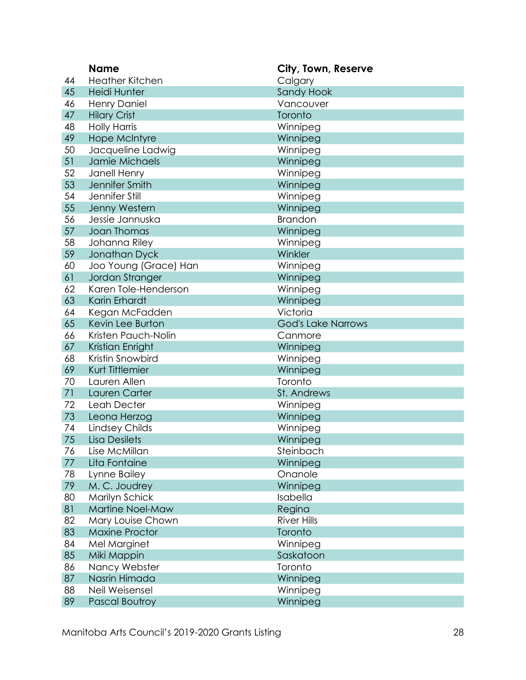|    | <b>Name</b>            | City, Town, Reserve       |
|----|------------------------|---------------------------|
| 44 | <b>Heather Kitchen</b> | Calgary                   |
| 45 | <b>Heidi Hunter</b>    | Sandy Hook                |
| 46 | <b>Henry Daniel</b>    | Vancouver                 |
| 47 | <b>Hilary Crist</b>    | Toronto                   |
| 48 | <b>Holly Harris</b>    | Winnipeg                  |
| 49 | <b>Hope McIntyre</b>   | Winnipeg                  |
| 50 | Jacqueline Ladwig      | Winnipeg                  |
| 51 | Jamie Michaels         | Winnipeg                  |
| 52 | Janell Henry           | Winnipeg                  |
| 53 | Jennifer Smith         | Winnipeg                  |
| 54 | Jennifer Still         | Winnipeg                  |
| 55 | Jenny Western          | Winnipeg                  |
| 56 | Jessie Jannuska        | <b>Brandon</b>            |
| 57 | <b>Joan Thomas</b>     | Winnipeg                  |
| 58 | Johanna Riley          | Winnipeg                  |
| 59 | Jonathan Dyck          | Winkler                   |
| 60 | Joo Young (Grace) Han  | Winnipeg                  |
| 61 | Jordan Stranger        | Winnipeg                  |
| 62 | Karen Tole-Henderson   | Winnipeg                  |
| 63 | Karin Erhardt          | Winnipeg                  |
| 64 | Kegan McFadden         | Victoria                  |
| 65 | Kevin Lee Burton       | <b>God's Lake Narrows</b> |
| 66 | Kristen Pauch-Nolin    | Canmore                   |
| 67 | Kristian Enright       | Winnipeg                  |
| 68 | Kristin Snowbird       | Winnipeg                  |
| 69 | Kurt Tittlemier        | Winnipeg                  |
| 70 | Lauren Allen           | Toronto                   |
| 71 | Lauren Carter          | St. Andrews               |
| 72 | Leah Decter            | Winnipeg                  |
| 73 | Leona Herzog           | Winnipeg                  |
| 74 | Lindsey Childs         | Winnipeg                  |
| 75 | <b>Lisa Desilets</b>   | Winnipeg                  |
| 76 | Lise McMillan          | Steinbach                 |
| 77 | Lita Fontaine          | Winnipeg                  |
| 78 | Lynne Bailey           | Onanole                   |
| 79 | M. C. Joudrey          | Winnipeg                  |
| 80 | Marilyn Schick         | Isabella                  |
| 81 | Martine Noel-Maw       | Regina                    |
| 82 | Mary Louise Chown      | <b>River Hills</b>        |
| 83 | <b>Maxine Proctor</b>  | Toronto                   |
| 84 | Mel Marginet           | Winnipeg                  |
| 85 | Miki Mappin            | Saskatoon                 |
| 86 | Nancy Webster          | Toronto                   |
| 87 | Nasrin Himada          | Winnipeg                  |
| 88 | Neil Weisensel         | Winnipeg                  |
| 89 | Pascal Boutroy         | Winnipeg                  |